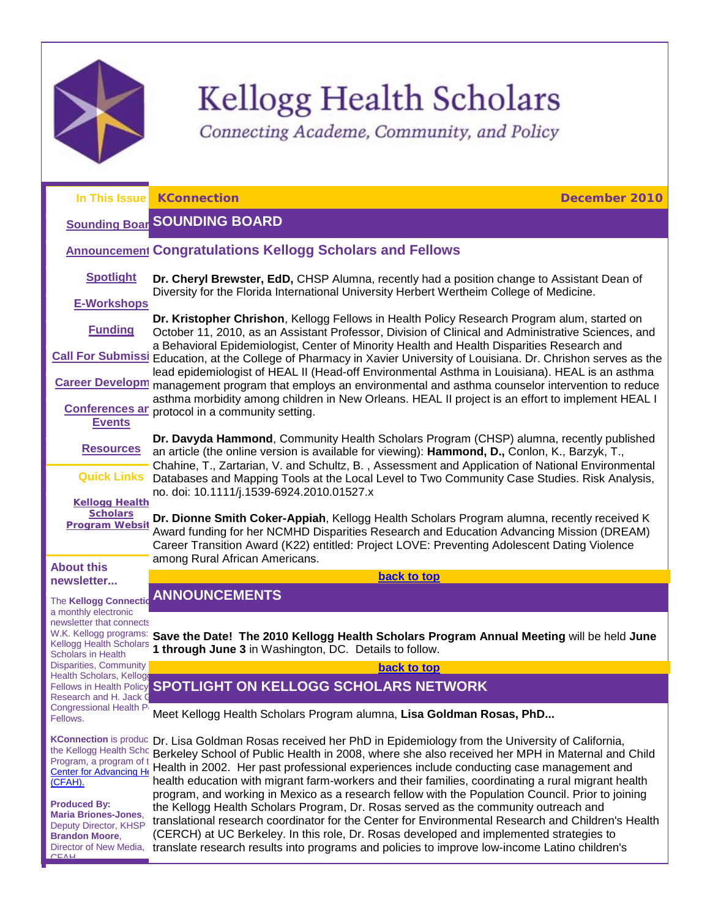

<span id="page-0-2"></span><span id="page-0-1"></span>CFAH

# Kellogg Health Scholars

<span id="page-0-3"></span>Connecting Academe, Community, and Policy

<span id="page-0-0"></span>

|                                                                                                                                           | In This Issue KConnection<br>December 2010                                                                                                                                                                                                                                                                                                                                                                                                                                                           |
|-------------------------------------------------------------------------------------------------------------------------------------------|------------------------------------------------------------------------------------------------------------------------------------------------------------------------------------------------------------------------------------------------------------------------------------------------------------------------------------------------------------------------------------------------------------------------------------------------------------------------------------------------------|
|                                                                                                                                           | <b>Sounding Boar SOUNDING BOARD</b>                                                                                                                                                                                                                                                                                                                                                                                                                                                                  |
|                                                                                                                                           | <b>Announcement Congratulations Kellogg Scholars and Fellows</b>                                                                                                                                                                                                                                                                                                                                                                                                                                     |
| <b>Spotlight</b>                                                                                                                          | Dr. Cheryl Brewster, EdD, CHSP Alumna, recently had a position change to Assistant Dean of<br>Diversity for the Florida International University Herbert Wertheim College of Medicine.                                                                                                                                                                                                                                                                                                               |
| <b>E-Workshops</b>                                                                                                                        | Dr. Kristopher Chrishon, Kellogg Fellows in Health Policy Research Program alum, started on                                                                                                                                                                                                                                                                                                                                                                                                          |
| <b>Funding</b>                                                                                                                            | October 11, 2010, as an Assistant Professor, Division of Clinical and Administrative Sciences, and<br>a Behavioral Epidemiologist, Center of Minority Health and Health Disparities Research and                                                                                                                                                                                                                                                                                                     |
|                                                                                                                                           | Call For Submissi Education, at the College of Pharmacy in Xavier University of Louisiana. Dr. Chrishon serves as the                                                                                                                                                                                                                                                                                                                                                                                |
| <b>Career Developm</b>                                                                                                                    | lead epidemiologist of HEAL II (Head-off Environmental Asthma in Louisiana). HEAL is an asthma<br>management program that employs an environmental and asthma counselor intervention to reduce<br>asthma morbidity among children in New Orleans. HEAL II project is an effort to implement HEAL I                                                                                                                                                                                                   |
| <b>Conferences ar</b><br><b>Events</b>                                                                                                    | protocol in a community setting.                                                                                                                                                                                                                                                                                                                                                                                                                                                                     |
| <b>Resources</b>                                                                                                                          | Dr. Davyda Hammond, Community Health Scholars Program (CHSP) alumna, recently published<br>an article (the online version is available for viewing): Hammond, D., Conlon, K., Barzyk, T.,<br>Chahine, T., Zartarian, V. and Schultz, B., Assessment and Application of National Environmental                                                                                                                                                                                                        |
| <b>Quick Links</b>                                                                                                                        | Databases and Mapping Tools at the Local Level to Two Community Case Studies. Risk Analysis,<br>no. doi: 10.1111/j.1539-6924.2010.01527.x                                                                                                                                                                                                                                                                                                                                                            |
| <b>Kellogg Health</b><br><b>Scholars</b>                                                                                                  |                                                                                                                                                                                                                                                                                                                                                                                                                                                                                                      |
| <b>Program Websit</b>                                                                                                                     | Dr. Dionne Smith Coker-Appiah, Kellogg Health Scholars Program alumna, recently received K<br>Award funding for her NCMHD Disparities Research and Education Advancing Mission (DREAM)<br>Career Transition Award (K22) entitled: Project LOVE: Preventing Adolescent Dating Violence<br>among Rural African Americans.                                                                                                                                                                              |
| <b>About this</b><br>newsletter                                                                                                           | back to top                                                                                                                                                                                                                                                                                                                                                                                                                                                                                          |
| The Kellogg Connectio                                                                                                                     | <b>ANNOUNCEMENTS</b>                                                                                                                                                                                                                                                                                                                                                                                                                                                                                 |
| a monthly electronic<br>newsletter that connects<br>W.K. Kellogg programs:<br><b>Kellogg Health Scholars</b><br><b>Scholars in Health</b> | Save the Date! The 2010 Kellogg Health Scholars Program Annual Meeting will be held June<br>1 through June 3 in Washington, DC. Details to follow.                                                                                                                                                                                                                                                                                                                                                   |
| <b>Disparities, Community</b><br>Health Scholars, Kellog                                                                                  | back to top                                                                                                                                                                                                                                                                                                                                                                                                                                                                                          |
| <b>Fellows in Health Policy</b><br>Research and H. Jack O                                                                                 | <b>SPOTLIGHT ON KELLOGG SCHOLARS NETWORK</b>                                                                                                                                                                                                                                                                                                                                                                                                                                                         |
| <b>Congressional Health P</b><br>Fellows.                                                                                                 | Meet Kellogg Health Scholars Program alumna, Lisa Goldman Rosas, PhD                                                                                                                                                                                                                                                                                                                                                                                                                                 |
| <b>KConnection</b> is produc<br>the Kellogg Health Scho<br>Program, a program of t<br>Center for Advancing He<br>(CFAH).                  | Dr. Lisa Goldman Rosas received her PhD in Epidemiology from the University of California,<br>Berkeley School of Public Health in 2008, where she also received her MPH in Maternal and Child<br>Health in 2002. Her past professional experiences include conducting case management and<br>health education with migrant farm-workers and their families, coordinating a rural migrant health<br>program, and working in Mexico as a research fellow with the Population Council. Prior to joining |
| <b>Produced By:</b><br><b>Maria Briones-Jones,</b><br>Deputy Director, KHSP<br><b>Brandon Moore,</b><br>Director of New Media,            | the Kellogg Health Scholars Program, Dr. Rosas served as the community outreach and<br>translational research coordinator for the Center for Environmental Research and Children's Health<br>(CERCH) at UC Berkeley. In this role, Dr. Rosas developed and implemented strategies to<br>translate research results into programs and policies to improve low-income Latino children's                                                                                                                |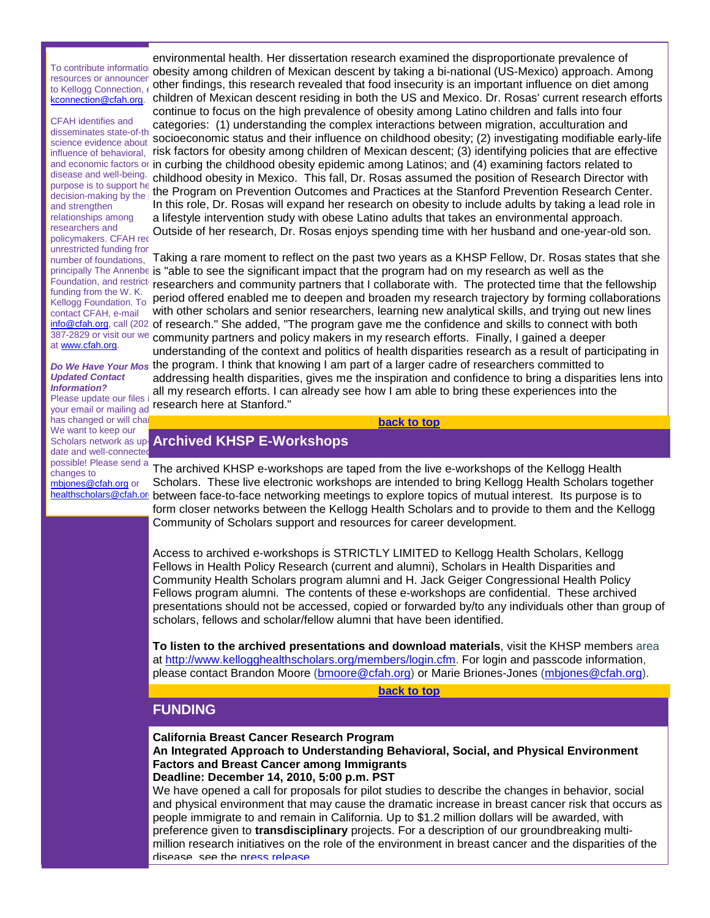resources or announcer to Kellogg Connection,  $\epsilon$ [kconnection@cfah.org.](mailto:kconnection@cfah.org)

CFAH identifies and disseminates state-of-th science evidence about purpose is to support he  $\ddot{\text{h}}$ and strengthen relationships among researchers and policymakers. CFAH rec unrestricted funding fror number of foundations, funding from the W. K. Kellogg Foundation. To contact CFAH, e-mail at [www.cfah.org.](http://r20.rs6.net/tn.jsp?llr=5gytkqcab&et=1104038057191&s=1&e=0017q8tSuYwGc9SdEe3fB_2hy1Aii68Efgsv0Hf2_VPlRZynBcDdJvj8n1rNsuYNr7kYKWAQH7SjiBSEKLEQf_CTpBoZEAP6Ybo0RcwiZGl5mY=)

# *Updated Contact Information?*<br>Please update our files

Please update our files has changed or will cha We want to keep our date and well-connected possible! Please send a changes to [mbjones@cfah.org](mailto:mbjones@cfah.org) or

To contribute informatio, obesity among children of Mexican descent by taking a bi-national (US-Mexico) approach. Among influence of behavioral, krisk factors for obesity among children of Mexican descent; (3) identifying policies that are effective and economic factors or in curbing the childhood obesity epidemic among Latinos; and (4) examining factors related to disease and well-being. childhood obesity in Mexico. This fall, Dr. Rosas assumed the position of Research Director with purpose is to support it the Program on Prevention Outcomes and Practices at the Stanford Prevention Research Center. environmental health. Her dissertation research examined the disproportionate prevalence of other findings, this research revealed that food insecurity is an important influence on diet among children of Mexican descent residing in both the US and Mexico. Dr. Rosas' current research efforts continue to focus on the high prevalence of obesity among Latino children and falls into four categories: (1) understanding the complex interactions between migration, acculturation and socioeconomic status and their influence on childhood obesity; (2) investigating modifiable early-life In this role, Dr. Rosas will expand her research on obesity to include adults by taking a lead role in a lifestyle intervention study with obese Latino adults that takes an environmental approach. Outside of her research, Dr. Rosas enjoys spending time with her husband and one-year-old son.

principally The Annenbe is "able to see the significant impact that the program had on my research as well as the Foundation, and restrict researchers and community partners that I collaborate with. The protected time that the fellowship [info@cfah.org,](mailto:info@cfah.org) call (202 of research." She added, "The program gave me the confidence and skills to connect with both 387-2829 or visit our we community partners and policy makers in my research efforts. Finally, I gained a deeper Do We Have Your Mos the program. I think that knowing I am part of a larger cadre of researchers committed to ricase apuate our mest research here at Stanford." Taking a rare moment to reflect on the past two years as a KHSP Fellow, Dr. Rosas states that she period offered enabled me to deepen and broaden my research trajectory by forming collaborations with other scholars and senior researchers, learning new analytical skills, and trying out new lines understanding of the context and politics of health disparities research as a result of participating in addressing health disparities, gives me the inspiration and confidence to bring a disparities lens into all my research efforts. I can already see how I am able to bring these experiences into the

**[back to top](#page-0-3)**

# <span id="page-1-0"></span>Scholars network as up<mark>-</mark> Archived KHSP E-Workshops

healthscholars@cfah.or\_between face-to-face networking meetings to explore topics of mutual interest. Its purpose is to The archived KHSP e-workshops are taped from the live e-workshops of the Kellogg Health Scholars. These live electronic workshops are intended to bring Kellogg Health Scholars together form closer networks between the Kellogg Health Scholars and to provide to them and the Kellogg Community of Scholars support and resources for career development.

> Access to archived e-workshops is STRICTLY LIMITED to Kellogg Health Scholars, Kellogg Fellows in Health Policy Research (current and alumni), Scholars in Health Disparities and Community Health Scholars program alumni and H. Jack Geiger Congressional Health Policy Fellows program alumni. The contents of these e-workshops are confidential. These archived presentations should not be accessed, copied or forwarded by/to any individuals other than group of scholars, fellows and scholar/fellow alumni that have been identified.

**To listen to the archived presentations and download materials**, visit the KHSP members area at [http://www.kellogghealthscholars.org/members/login.cfm.](http://r20.rs6.net/tn.jsp?llr=5gytkqcab&et=1104038057191&s=1&e=0017q8tSuYwGc_oHXTY5XjE_eLI7dMUInKRjPjeuZxJwo4Jda5SYWZQyuj9FehAfHxxz1r9BSuuB30uB-YvdEtNIvYmLZ3ai8jXBTCU91iV3y4K7FK14nrzM8UlPUoL3RqtNZPsSVE-ER9q0m6ettjjmg==) For login and passcode information, please contact Brandon Moore [\(bmoore@cfah.org\)](mailto:bmoore@cfah.org) or Marie Briones-Jones [\(mbjones@cfah.org\)](mailto:mbjones@cfah.org).

**[back to top](#page-0-3)**

# <span id="page-1-1"></span>**FUNDING**

**California Breast Cancer Research Program**

**An Integrated Approach to Understanding Behavioral, Social, and Physical Environment Factors and Breast Cancer among Immigrants**

## **Deadline: December 14, 2010, 5:00 p.m. PST**

We have opened a call for proposals for pilot studies to describe the changes in behavior, social and physical environment that may cause the dramatic increase in breast cancer risk that occurs as people immigrate to and remain in California. Up to \$1.2 million dollars will be awarded, with preference given to **transdisciplinary** projects. For a description of our groundbreaking multimillion research initiatives on the role of the environment in breast cancer and the disparities of the disease, see the [press release.](http://r20.rs6.net/tn.jsp?llr=5gytkqcab&et=1104038057191&s=1&e=0017q8tSuYwGc8IUyf1QKvC_V2Y6owgwxo_cB2Xm1LpEbmQBNcIcJCMdWD_llE_tAbCVcbZrjn-BujQPDox5Pvosa-LmzKKG2UhsqSPLemo9UdWaozhtF6hB9lV7ZNHxIb2pTJA5AazEkM=)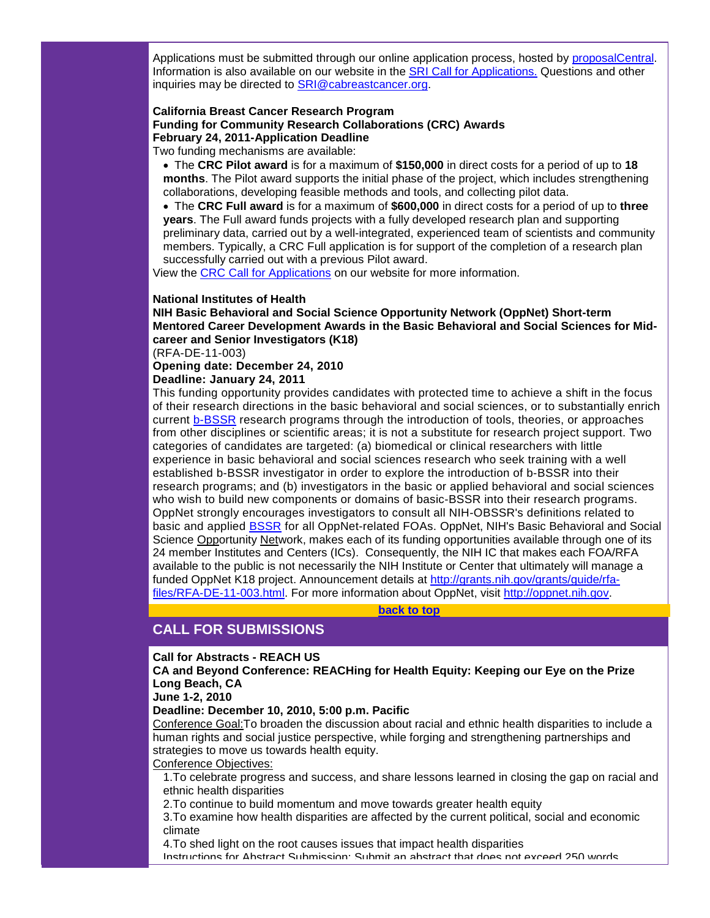Applications must be submitted through our online application process, hosted by proposalCentral. Information is also available on our website in the [SRI Call for Applications.](http://r20.rs6.net/tn.jsp?llr=5gytkqcab&et=1104038057191&s=1&e=0017q8tSuYwGc9H5gcK68hlnUuR1C6LEuC6X3EBp8UdQIZFdwwiF_0Rjk6RpFUDxBZZ0sQ_JRzROGOd6sAqksru47zi5TLjPd7aDBGcUP_BJvDiFZJFmod9rieE46xbADaV) Questions and other inquiries may be directed to [SRI@cabreastcancer.org.](mailto:SRI@cabreastcancer.org) 

# **California Breast Cancer Research Program Funding for Community Research Collaborations (CRC) Awards February 24, 2011-Application Deadline**

Two funding mechanisms are available:

• The **CRC Pilot award** is for a maximum of **\$150,000** in direct costs for a period of up to **18 months**. The Pilot award supports the initial phase of the project, which includes strengthening collaborations, developing feasible methods and tools, and collecting pilot data.

• The **CRC Full award** is for a maximum of **\$600,000** in direct costs for a period of up to **three years**. The Full award funds projects with a fully developed research plan and supporting preliminary data, carried out by a well-integrated, experienced team of scientists and community members. Typically, a CRC Full application is for support of the completion of a research plan successfully carried out with a previous Pilot award.

View the [CRC Call for Applications](http://r20.rs6.net/tn.jsp?llr=5gytkqcab&et=1104038057191&s=1&e=0017q8tSuYwGc8gyG5vNe5JCIYQb1ANxbRi-y6AYnMVfX5x32BYT_ff4Kl50UHyyJKTUaFo1mi8P3kR5dNj6-6Tupaj7vMHmK-gHMKY1gi-T6S-WJcANF6tke3B-p58KPoq) on our website for more information.

#### **National Institutes of Health**

**NIH Basic Behavioral and Social Science Opportunity Network (OppNet) Short-term Mentored Career Development Awards in the Basic Behavioral and Social Sciences for Midcareer and Senior Investigators (K18)**

(RFA-DE-11-003)

**Opening date: December 24, 2010**

#### **Deadline: January 24, 2011**

This funding opportunity provides candidates with protected time to achieve a shift in the focus of their research directions in the basic behavioral and social sciences, or to substantially enrich current [b-BSSR](http://r20.rs6.net/tn.jsp?llr=5gytkqcab&et=1104038057191&s=1&e=0017q8tSuYwGc-sI2muIZvzXm-W2v0B6gjlM9Fr_heIuZzNyHpf70dSKoXNTWUkfJeWs3JHllOmn3SbiQ9q7HXwGg0BgChZMotGnPS58j1675yakMb3Ng_pAz_BMWqQ5rlO) research programs through the introduction of tools, theories, or approaches from other disciplines or scientific areas; it is not a substitute for research project support. Two categories of candidates are targeted: (a) biomedical or clinical researchers with little experience in basic behavioral and social sciences research who seek training with a well established b-BSSR investigator in order to explore the introduction of b-BSSR into their research programs; and (b) investigators in the basic or applied behavioral and social sciences who wish to build new components or domains of basic-BSSR into their research programs. OppNet strongly encourages investigators to consult all NIH-OBSSR's definitions related to basic and applied [BSSR](http://r20.rs6.net/tn.jsp?llr=5gytkqcab&et=1104038057191&s=1&e=0017q8tSuYwGc8Y8nvdd-UHe613_gHq3f3-U6lsUxaZa0r41cv696v1Cn_ifQ0c3O_StbdBijU3_ZYUQt8pBNCfWWzxf0Jh5xT87BRQZzZRPefZXo1s5lY-98lT52cnDoBFgUZ0en7iic1ELeha_hLSJdEQeB-FIr-ipw71gUXmbaOhYk7RfiUXpKeVJU239NRf) for all OppNet-related FOAs. OppNet, NIH's Basic Behavioral and Social Science Opportunity Network, makes each of its funding opportunities available through one of its 24 member Institutes and Centers (ICs). Consequently, the NIH IC that makes each FOA/RFA available to the public is not necessarily the NIH Institute or Center that ultimately will manage a funded OppNet K18 project. Announcement details at [http://grants.nih.gov/grants/guide/rfa](http://r20.rs6.net/tn.jsp?llr=5gytkqcab&et=1104038057191&s=1&e=0017q8tSuYwGc_ViGqwxiwOwph84SgvmTqr8-SBfGehK5-t6W394eYDylRlvImULsrVXRHNglFYGvx03hiMEPbUkBlN6fbMdsH9cyqnS3azizdfaWtnEQle-WwOuSrHUQ_T7pUvTSMY8-I4vj2E35O8jPGI4y-r5XxKyToT3wfOju4=)[files/RFA-DE-11-003.html.](http://r20.rs6.net/tn.jsp?llr=5gytkqcab&et=1104038057191&s=1&e=0017q8tSuYwGc_ViGqwxiwOwph84SgvmTqr8-SBfGehK5-t6W394eYDylRlvImULsrVXRHNglFYGvx03hiMEPbUkBlN6fbMdsH9cyqnS3azizdfaWtnEQle-WwOuSrHUQ_T7pUvTSMY8-I4vj2E35O8jPGI4y-r5XxKyToT3wfOju4=) For more information about OppNet, visit [http://oppnet.nih.gov.](http://r20.rs6.net/tn.jsp?llr=5gytkqcab&et=1104038057191&s=1&e=0017q8tSuYwGc92_KYkMYxMdlJJP7gDAqw3KIr-fTBolkdI4ZR8jK3sbUoKaCtSBLA8h8Ux1Qm2vnE4Z4mVVUkpml_FyOSSQEBGw4bh89sXgKA=)

**[back to top](#page-0-3)**

# <span id="page-2-0"></span>**CALL FOR SUBMISSIONS**

#### **Call for Abstracts - REACH US**

**CA and Beyond Conference: REACHing for Health Equity: Keeping our Eye on the Prize Long Beach, CA**

**June 1-2, 2010**

**Deadline: December 10, 2010, 5:00 p.m. Pacific** 

Conference Goal:To broaden the discussion about racial and ethnic health disparities to include a human rights and social justice perspective, while forging and strengthening partnerships and strategies to move us towards health equity.

#### Conference Objectives:

1.To celebrate progress and success, and share lessons learned in closing the gap on racial and ethnic health disparities

2.To continue to build momentum and move towards greater health equity

3.To examine how health disparities are affected by the current political, social and economic climate

4.To shed light on the root causes issues that impact health disparities

Instructions for Abstract Submission: Submit an abstract that does not exceed 250 words.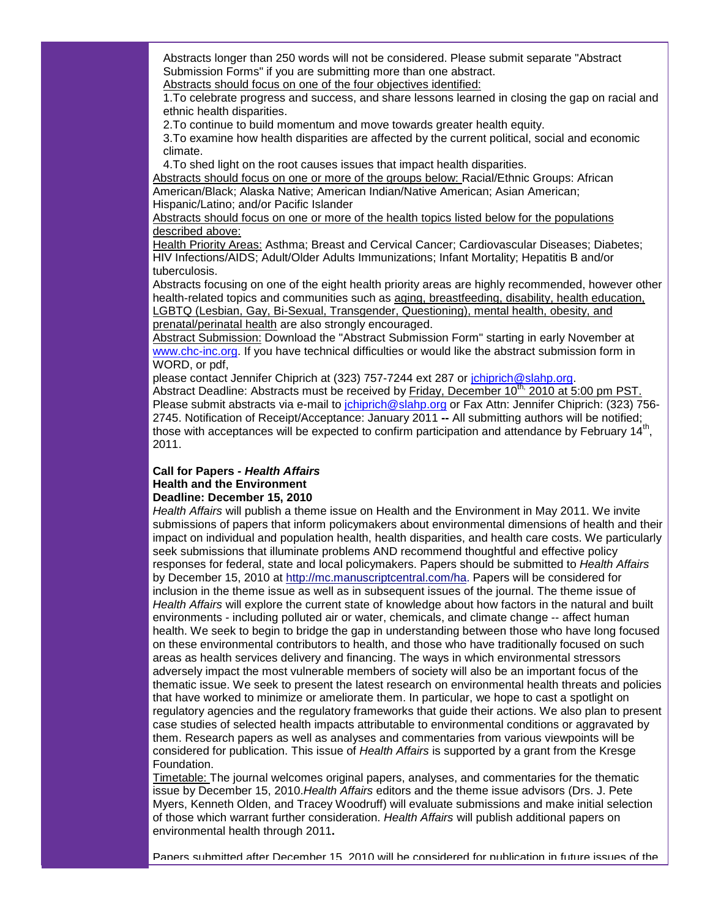Abstracts longer than 250 words will not be considered. Please submit separate "Abstract Submission Forms" if you are submitting more than one abstract.

Abstracts should focus on one of the four objectives identified:

1.To celebrate progress and success, and share lessons learned in closing the gap on racial and ethnic health disparities.

2.To continue to build momentum and move towards greater health equity.

3.To examine how health disparities are affected by the current political, social and economic climate.

4.To shed light on the root causes issues that impact health disparities.

Abstracts should focus on one or more of the groups below: Racial/Ethnic Groups: African American/Black; Alaska Native; American Indian/Native American; Asian American; Hispanic/Latino; and/or Pacific Islander

Abstracts should focus on one or more of the health topics listed below for the populations described above:

Health Priority Areas: Asthma; Breast and Cervical Cancer; Cardiovascular Diseases; Diabetes; HIV Infections/AIDS; Adult/Older Adults Immunizations; Infant Mortality; Hepatitis B and/or tuberculosis.

Abstracts focusing on one of the eight health priority areas are highly recommended, however other health-related topics and communities such as aging, breastfeeding, disability, health education, LGBTQ (Lesbian, Gay, Bi-Sexual, Transgender, Questioning), mental health, obesity, and prenatal/perinatal health are also strongly encouraged.

Abstract Submission: Download the "Abstract Submission Form" starting in early November at [www.chc-inc.org.](http://r20.rs6.net/tn.jsp?llr=5gytkqcab&et=1104038057191&s=1&e=0017q8tSuYwGc_EHOTz3Hwym62OLx8KZrOSE_7ZBcX77-N6dpcs08asYRq3tGkWiGJ6_HiRGi3yHV5z2tdMKQf2TYasMVaaNineLryFNpIRiPM=) If you have technical difficulties or would like the abstract submission form in WORD, or pdf,

please contact Jennifer Chiprich at (323) 757-7244 ext 287 or [jchiprich@slahp.org.](mailto:jonathan@chc-inc.org)

Abstract Deadline: Abstracts must be received by Friday, December 10<sup>th,</sup> 2010 at 5:00 pm PST. Please submit abstracts via e-mail to *[jchiprich@slahp.org](mailto:jchiprich@slahp.org)* or Fax Attn: Jennifer Chiprich: (323) 756-2745. Notification of Receipt/Acceptance: January 2011 **--** All submitting authors will be notified; those with acceptances will be expected to confirm participation and attendance by February  $14<sup>th</sup>$ , 2011.

#### **Call for Papers -** *Health Affairs* **Health and the Environment Deadline: December 15, 2010**

*Health Affairs* will publish a theme issue on Health and the Environment in May 2011. We invite submissions of papers that inform policymakers about environmental dimensions of health and their impact on individual and population health, health disparities, and health care costs. We particularly seek submissions that illuminate problems AND recommend thoughtful and effective policy responses for federal, state and local policymakers. Papers should be submitted to *Health Affairs*  by December 15, 2010 at [http://mc.manuscriptcentral.com/ha.](http://r20.rs6.net/tn.jsp?llr=5gytkqcab&et=1104038057191&s=1&e=0017q8tSuYwGc9bCjxOiv5Am0bOmF5qxoI6X8JGILPH7pLwU3U39WwNyNwpurE6nLxUGLUHDzZI0quZohPycnJZihyW7zzi-C1yGfWduhT-CazEJXBqe6fxtEiLpoevRCfQ) Papers will be considered for inclusion in the theme issue as well as in subsequent issues of the journal. The theme issue of *Health Affairs* will explore the current state of knowledge about how factors in the natural and built environments - including polluted air or water, chemicals, and climate change -- affect human health. We seek to begin to bridge the gap in understanding between those who have long focused on these environmental contributors to health, and those who have traditionally focused on such areas as health services delivery and financing. The ways in which environmental stressors adversely impact the most vulnerable members of society will also be an important focus of the thematic issue. We seek to present the latest research on environmental health threats and policies that have worked to minimize or ameliorate them. In particular, we hope to cast a spotlight on regulatory agencies and the regulatory frameworks that guide their actions. We also plan to present case studies of selected health impacts attributable to environmental conditions or aggravated by them. Research papers as well as analyses and commentaries from various viewpoints will be considered for publication. This issue of *Health Affairs* is supported by a grant from the Kresge Foundation.

Timetable: The journal welcomes original papers, analyses, and commentaries for the thematic issue by December 15, 2010.*Health Affairs* editors and the theme issue advisors (Drs. J. Pete Myers, Kenneth Olden, and Tracey Woodruff) will evaluate submissions and make initial selection of those which warrant further consideration. *Health Affairs* will publish additional papers on environmental health through 2011**.** 

Papers submitted after December 15, 2010 will be considered for publication in future issues of the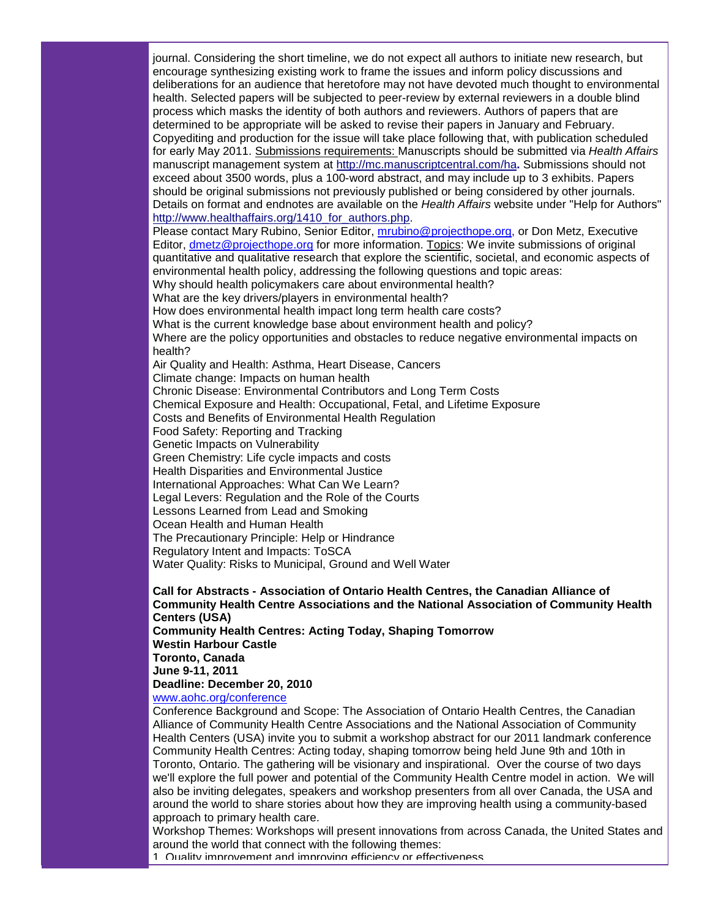journal. Considering the short timeline, we do not expect all authors to initiate new research, but encourage synthesizing existing work to frame the issues and inform policy discussions and deliberations for an audience that heretofore may not have devoted much thought to environmental health. Selected papers will be subjected to peer-review by external reviewers in a double blind process which masks the identity of both authors and reviewers. Authors of papers that are determined to be appropriate will be asked to revise their papers in January and February. Copyediting and production for the issue will take place following that, with publication scheduled for early May 2011. Submissions requirements: Manuscripts should be submitted via *Health Affairs*  manuscript management system at [http://mc.manuscriptcentral.com/ha](http://r20.rs6.net/tn.jsp?llr=5gytkqcab&et=1104038057191&s=1&e=0017q8tSuYwGc9bCjxOiv5Am0bOmF5qxoI6X8JGILPH7pLwU3U39WwNyNwpurE6nLxUGLUHDzZI0quZohPycnJZihyW7zzi-C1yGfWduhT-CazEJXBqe6fxtEiLpoevRCfQ)**.** Submissions should not exceed about 3500 words, plus a 100-word abstract, and may include up to 3 exhibits. Papers should be original submissions not previously published or being considered by other journals. Details on format and endnotes are available on the *Health Affairs* website under "Help for Authors" [http://www.healthaffairs.org/1410\\_for\\_authors.php.](http://r20.rs6.net/tn.jsp?llr=5gytkqcab&et=1104038057191&s=1&e=0017q8tSuYwGc-Jx6fEhJ0tZiP4Mli_FyxsWKppe_eB66acJMPEPsjRdt1rMJWvyZajypst2t6QG8yVMZzTSEcNBTTP3IAMyqJV7_h2jLXsgK4cTBLoyBfQVv-0NSA7LORkVQiQhcMEVx-ePiAiCB1ZLA==) Please contact Mary Rubino, Senior Editor, *mrubino@projecthope.org*, or Don Metz, Executive Editor, <u>[dmetz@projecthope.org](mailto:dmetz@projecthope.org)</u> for more information. Topics: We invite submissions of original Why should health policymakers care about environmental health? quantitative and qualitative research that explore the scientific, societal, and economic aspects of environmental health policy, addressing the following questions and topic areas: What are the key drivers/players in environmental health? How does environmental health impact long term health care costs? What is the current knowledge base about environment health and policy? Where are the policy opportunities and obstacles to reduce negative environmental impacts on health? Air Quality and Health: Asthma, Heart Disease, Cancers Climate change: Impacts on human health Chronic Disease: Environmental Contributors and Long Term Costs Chemical Exposure and Health: Occupational, Fetal, and Lifetime Exposure Costs and Benefits of Environmental Health Regulation Food Safety: Reporting and Tracking Genetic Impacts on Vulnerability Green Chemistry: Life cycle impacts and costs Health Disparities and Environmental Justice International Approaches: What Can We Learn? Legal Levers: Regulation and the Role of the Courts Lessons Learned from Lead and Smoking Ocean Health and Human Health The Precautionary Principle: Help or Hindrance Regulatory Intent and Impacts: ToSCA Water Quality: Risks to Municipal, Ground and Well Water

#### **Call for Abstracts - Association of Ontario Health Centres, the Canadian Alliance of Community Health Centre Associations and the National Association of Community Health Centers (USA)**

**Community Health Centres: Acting Today, Shaping Tomorrow Westin Harbour Castle Toronto, Canada June 9-11, 2011 Deadline: December 20, 2010**

[www.aohc.org/conference](http://r20.rs6.net/tn.jsp?llr=5gytkqcab&et=1104038057191&s=1&e=0017q8tSuYwGc9Yn8xGOS6uiFyhPLONldhR9yf0G3wrooCAoovDnvstRt1_PmzJMiHAl_CQUV2Li4n9a5MzJemOXY55fzy9-GlJXPmJKhJ7FqQEUL_HQMu4RA==)

Conference Background and Scope: The Association of Ontario Health Centres, the Canadian Alliance of Community Health Centre Associations and the National Association of Community Health Centers (USA) invite you to submit a workshop abstract for our 2011 landmark conference Community Health Centres: Acting today, shaping tomorrow being held June 9th and 10th in Toronto, Ontario. The gathering will be visionary and inspirational. Over the course of two days we'll explore the full power and potential of the Community Health Centre model in action. We will also be inviting delegates, speakers and workshop presenters from all over Canada, the USA and around the world to share stories about how they are improving health using a community-based approach to primary health care.

Workshop Themes: Workshops will present innovations from across Canada, the United States and around the world that connect with the following themes:

1. Quality improvement and improving efficiency or effectiveness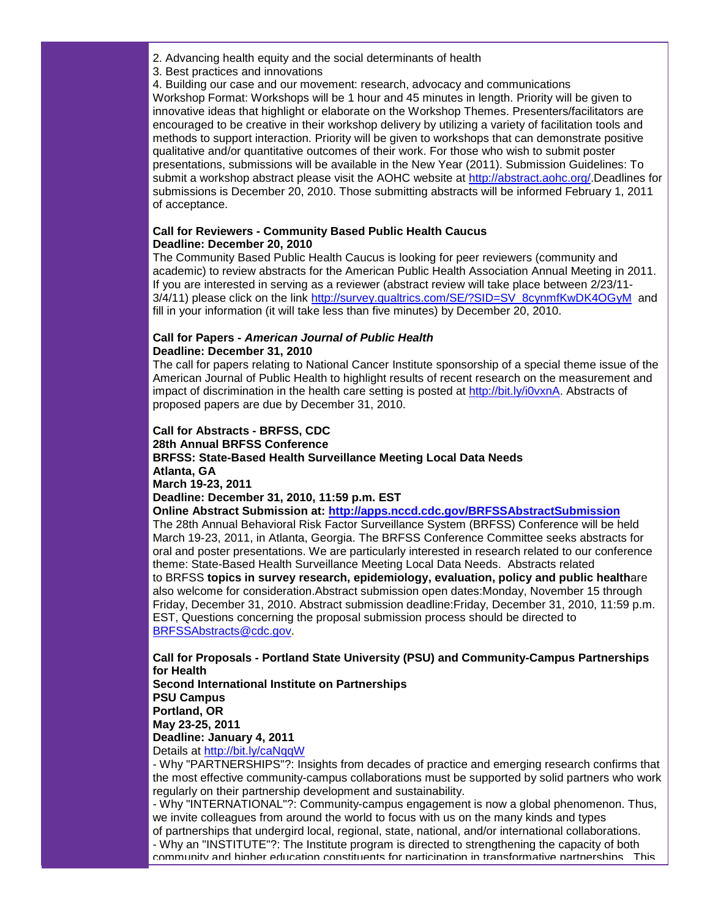- 2. Advancing health equity and the social determinants of health
- 3. Best practices and innovations
- 4. Building our case and our movement: research, advocacy and communications

Workshop Format: Workshops will be 1 hour and 45 minutes in length. Priority will be given to innovative ideas that highlight or elaborate on the Workshop Themes. Presenters/facilitators are encouraged to be creative in their workshop delivery by utilizing a variety of facilitation tools and methods to support interaction. Priority will be given to workshops that can demonstrate positive qualitative and/or quantitative outcomes of their work. For those who wish to submit poster presentations, submissions will be available in the New Year (2011). Submission Guidelines: To submit a workshop abstract please visit the AOHC website at [http://abstract.aohc.org/.](http://r20.rs6.net/tn.jsp?llr=5gytkqcab&et=1104038057191&s=1&e=0017q8tSuYwGc8l1sfNVYAytVxsY_t8mlZ40JRr53gLT50KvzHXCOe1DOu8pje1LTU5ijoSP33CEdXZFFYVBE5loB-HgKlchzoTe2WMlawzquQ3d7kj1OTZhA==)Deadlines for submissions is December 20, 2010. Those submitting abstracts will be informed February 1, 2011 of acceptance.

#### **Call for Reviewers - Community Based Public Health Caucus Deadline: December 20, 2010**

The Community Based Public Health Caucus is looking for peer reviewers (community and academic) to review abstracts for the American Public Health Association Annual Meeting in 2011. If you are interested in serving as a reviewer (abstract review will take place between 2/23/11- 3/4/11) please click on the link [http://survey.qualtrics.com/SE/?SID=SV\\_8cynmfKwDK4OGyM](http://r20.rs6.net/tn.jsp?llr=5gytkqcab&et=1104038057191&s=1&e=0017q8tSuYwGc96Zkhe561K7WGZ_PNWS05EdpJqxxjS_sUe_3RctKrsB23tsFipfnr5apPWPIRtAVz3Zo5nMEUr1My3nroe2VM4UD86BLFQJBbeRZTsp3Eeu1vdSWYTjZCabdRXyx3VYjbawIfbfGcOnOkioVvWJi3O) and fill in your information (it will take less than five minutes) by December 20, 2010.

#### **Call for Papers -** *American Journal of Public Health* **Deadline: December 31, 2010**

The call for papers relating to National Cancer Institute sponsorship of a special theme issue of the American Journal of Public Health to highlight results of recent research on the measurement and impact of discrimination in the health care setting is posted at [http://bit.ly/i0vxnA.](http://r20.rs6.net/tn.jsp?llr=5gytkqcab&et=1104038057191&s=1&e=0017q8tSuYwGc92_KYkMYxMdusZPkvylptr_552PkaWfWPIq2zv7xoAQdrlmLF5E6D-NAVhzIpBmnojdXT8vttbUzdj5PO44kKMNdmOn8UZ2FY=) Abstracts of proposed papers are due by December 31, 2010.

#### **Call for Abstracts - BRFSS, CDC**

#### **28th Annual BRFSS Conference**

#### **BRFSS: State-Based Health Surveillance Meeting Local Data Needs Atlanta, GA**

**March 19-23, 2011**

#### **Deadline: December 31, 2010, 11:59 p.m. EST**

#### **Online Abstract Submission at: [http://apps.nccd.cdc.gov/BRFSSAbstractSubmission](http://r20.rs6.net/tn.jsp?llr=5gytkqcab&et=1104038057191&s=1&e=0017q8tSuYwGc8VtA2WUpOyu41PiP6VCp_Xrpi3uN9MuBAkiH8BaIkmcSyB3xZJqLhYIPbYJ2uTmi8GXmysaYiCUcVB2JBONuq6AGu9lLC9NXotKRbJ7MZpRBhoRXXb7ud0UcQSk3h4cUI=)**

The 28th Annual Behavioral Risk Factor Surveillance System (BRFSS) Conference will be held March 19-23, 2011, in Atlanta, Georgia. The BRFSS Conference Committee seeks abstracts for oral and poster presentations. We are particularly interested in research related to our conference theme: State-Based Health Surveillance Meeting Local Data Needs. Abstracts related to BRFSS **topics in survey research, epidemiology, evaluation, policy and public health**are also welcome for consideration.Abstract submission open dates:Monday, November 15 through Friday, December 31, 2010. Abstract submission deadline:Friday, December 31, 2010, 11:59 p.m. EST, Questions concerning the proposal submission process should be directed to [BRFSSAbstracts@cdc.gov.](mailto:BRFSSAbstracts@cdc.gov)

#### **Call for Proposals - Portland State University (PSU) and Community-Campus Partnerships for Health Second International Institute on Partnerships**

**PSU Campus Portland, OR May 23-25, 2011 Deadline: January 4, 2011**

Details at [http://bit.ly/caNqqW](http://r20.rs6.net/tn.jsp?llr=5gytkqcab&et=1104038057191&s=1&e=0017q8tSuYwGc8Y8nvdd-UHe96_yIVM2Eh3kflOX3xvwpTPx9T_LF1gtfuUx_xhiieI4A9OWTk_XoMBaVp6qJ7u6cXBnhQcE14wv22Tf-e5Rc4=)

- Why "PARTNERSHIPS"?: Insights from decades of practice and emerging research confirms that the most effective community-campus collaborations must be supported by solid partners who work regularly on their partnership development and sustainability.

- Why "INTERNATIONAL"?: Community-campus engagement is now a global phenomenon. Thus, we invite colleagues from around the world to focus with us on the many kinds and types

of partnerships that undergird local, regional, state, national, and/or international collaborations. - Why an "INSTITUTE"?: The Institute program is directed to strengthening the capacity of both community and higher education constituents for participation in transformative partnerships. This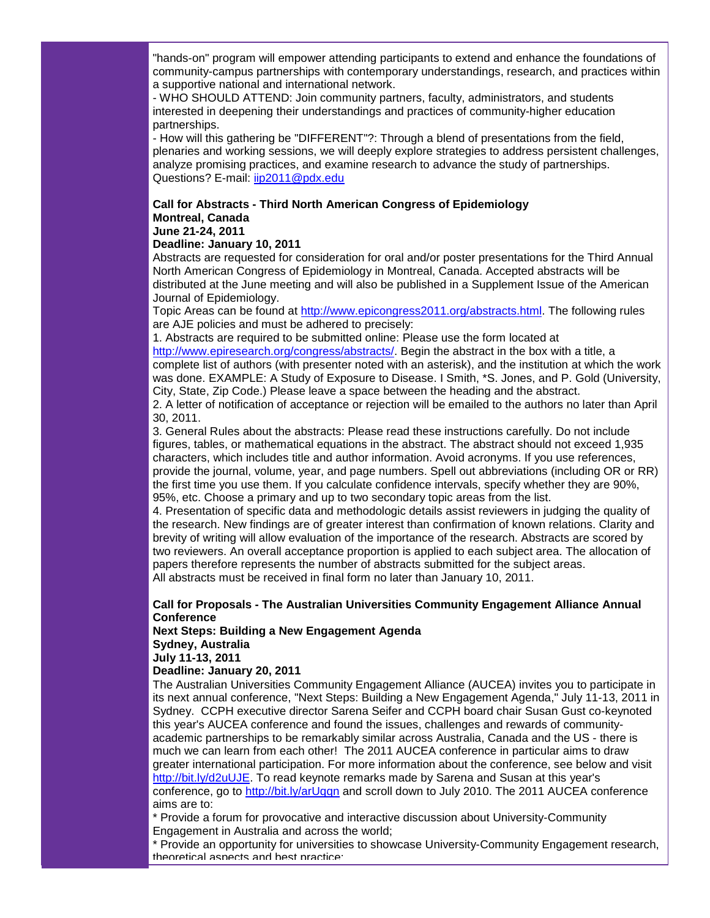"hands-on" program will empower attending participants to extend and enhance the foundations of community-campus partnerships with contemporary understandings, research, and practices within a supportive national and international network.

- WHO SHOULD ATTEND: Join community partners, faculty, administrators, and students interested in deepening their understandings and practices of community-higher education partnerships.

- How will this gathering be "DIFFERENT"?: Through a blend of presentations from the field, plenaries and working sessions, we will deeply explore strategies to address persistent challenges, analyze promising practices, and examine research to advance the study of partnerships. Questions? E-mail: [iip2011@pdx.edu](mailto:iip2011@pdx.edu)

#### **Call for Abstracts - Third North American Congress of Epidemiology Montreal, Canada June 21-24, 2011**

#### **Deadline: January 10, 2011**

Abstracts are requested for consideration for oral and/or poster presentations for the Third Annual North American Congress of Epidemiology in Montreal, Canada. Accepted abstracts will be distributed at the June meeting and will also be published in a Supplement Issue of the American Journal of Epidemiology.

Topic Areas can be found at [http://www.epicongress2011.org/abstracts.html.](http://r20.rs6.net/tn.jsp?llr=5gytkqcab&et=1104038057191&s=1&e=0017q8tSuYwGc9f--NOzxHcOSLptP0KvdVVkvCvzbH1ydMhrUYLdcqff24zhGwIGnymypBDfKQSpXzWHXwf8zQDsOhlT1kZtoONPzhMjoykHDml27aRiTydrIP2Uotc-rBZmr_SSWC9OnQ=) The following rules are AJE policies and must be adhered to precisely:

1. Abstracts are required to be submitted online: Please use the form located at [http://www.epiresearch.org/congress/abstracts/.](http://r20.rs6.net/tn.jsp?llr=5gytkqcab&et=1104038057191&s=1&e=0017q8tSuYwGc8NqTdiiqlos1UcoWY5IFbQzjQbd0NtgYnL65D0lETglYuef1W_UQfhaqcyxtveHfUwnONUKMi5OHxx9yj54_aZ1Q7eic_H3zGRla4DLS0BLdZC8WzWOHuWNB5idIFOOVHJBUEJhwPYfA==) Begin the abstract in the box with a title, a complete list of authors (with presenter noted with an asterisk), and the institution at which the work was done. EXAMPLE: A Study of Exposure to Disease. I Smith, \*S. Jones, and P. Gold (University, City, State, Zip Code.) Please leave a space between the heading and the abstract.

2. A letter of notification of acceptance or rejection will be emailed to the authors no later than April 30, 2011.

3. General Rules about the abstracts: Please read these instructions carefully. Do not include figures, tables, or mathematical equations in the abstract. The abstract should not exceed 1,935 characters, which includes title and author information. Avoid acronyms. If you use references, provide the journal, volume, year, and page numbers. Spell out abbreviations (including OR or RR) the first time you use them. If you calculate confidence intervals, specify whether they are 90%, 95%, etc. Choose a primary and up to two secondary topic areas from the list.

4. Presentation of specific data and methodologic details assist reviewers in judging the quality of the research. New findings are of greater interest than confirmation of known relations. Clarity and brevity of writing will allow evaluation of the importance of the research. Abstracts are scored by two reviewers. An overall acceptance proportion is applied to each subject area. The allocation of papers therefore represents the number of abstracts submitted for the subject areas. All abstracts must be received in final form no later than January 10, 2011.

#### **Call for Proposals - The Australian Universities Community Engagement Alliance Annual Conference**

#### **Next Steps: Building a New Engagement Agenda Sydney, Australia**

**July 11-13, 2011**

# **Deadline: January 20, 2011**

The Australian Universities Community Engagement Alliance (AUCEA) invites you to participate in its next annual conference, "Next Steps: Building a New Engagement Agenda," July 11-13, 2011 in Sydney. CCPH executive director Sarena Seifer and CCPH board chair Susan Gust co-keynoted this year's AUCEA conference and found the issues, challenges and rewards of communityacademic partnerships to be remarkably similar across Australia, Canada and the US - there is much we can learn from each other! The 2011 AUCEA conference in particular aims to draw greater international participation. For more information about the conference, see below and visit [http://bit.ly/d2uUJE.](http://r20.rs6.net/tn.jsp?llr=5gytkqcab&et=1104038057191&s=1&e=0017q8tSuYwGc8wl-U8zLfLK20OHKRzo0staA0plZ_qDm1QoxGvwUlyeMxEQ8GDfihe-HOCBSY5cUEcijosfC1eFQZD2-3ODU50PqbXjtQGX1U=) To read keynote remarks made by Sarena and Susan at this year's conference, go to [http://bit.ly/arUqqn](http://r20.rs6.net/tn.jsp?llr=5gytkqcab&et=1104038057191&s=1&e=0017q8tSuYwGc8owX_3_lkViFE0QrOKfyFaFLc8nDMOZHlVlMXMzEGeivdEEmXiaz2cLzhJXA_u1-XV8h4MqnjYpRmvwYWYA58H85KgqsVOo04=) and scroll down to July 2010. The 2011 AUCEA conference aims are to:

\* Provide a forum for provocative and interactive discussion about University-Community Engagement in Australia and across the world;

\* Provide an opportunity for universities to showcase University-Community Engagement research, theoretical aspects and best practice;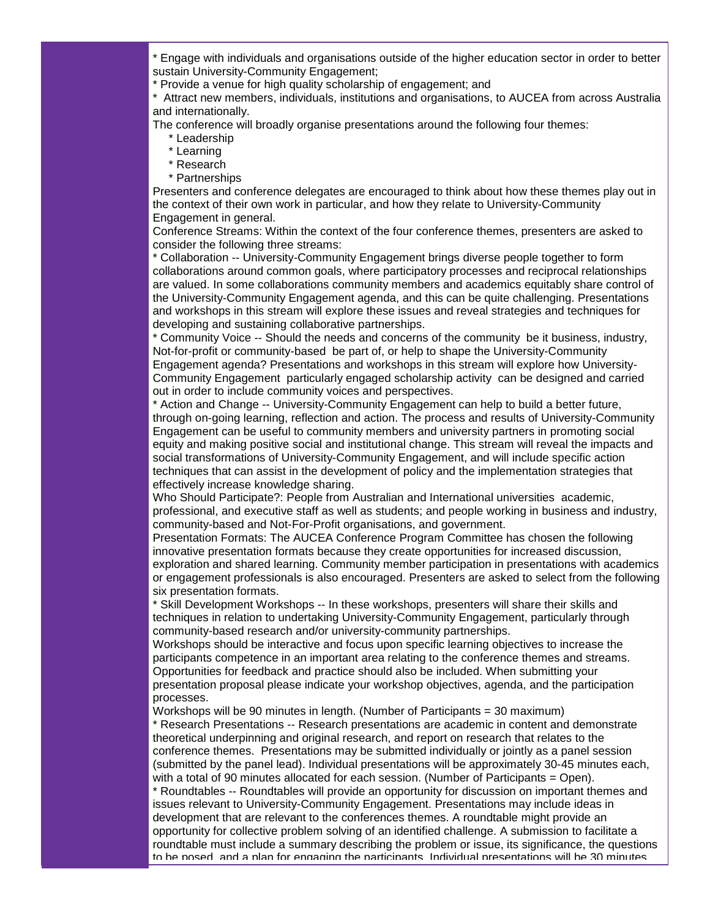\* Engage with individuals and organisations outside of the higher education sector in order to better sustain University-Community Engagement;

\* Provide a venue for high quality scholarship of engagement; and

\* Attract new members, individuals, institutions and organisations, to AUCEA from across Australia and internationally.

The conference will broadly organise presentations around the following four themes:

- \* Leadership
- \* Learning
- \* Research
- \* Partnerships

Presenters and conference delegates are encouraged to think about how these themes play out in the context of their own work in particular, and how they relate to University-Community Engagement in general.

Conference Streams: Within the context of the four conference themes, presenters are asked to consider the following three streams:

\* Collaboration -- University-Community Engagement brings diverse people together to form collaborations around common goals, where participatory processes and reciprocal relationships are valued. In some collaborations community members and academics equitably share control of the University-Community Engagement agenda, and this can be quite challenging. Presentations and workshops in this stream will explore these issues and reveal strategies and techniques for developing and sustaining collaborative partnerships.

\* Community Voice -- Should the needs and concerns of the community be it business, industry, Not-for-profit or community-based be part of, or help to shape the University-Community Engagement agenda? Presentations and workshops in this stream will explore how University-Community Engagement particularly engaged scholarship activity can be designed and carried out in order to include community voices and perspectives.

\* Action and Change -- University-Community Engagement can help to build a better future, through on-going learning, reflection and action. The process and results of University-Community Engagement can be useful to community members and university partners in promoting social equity and making positive social and institutional change. This stream will reveal the impacts and social transformations of University-Community Engagement, and will include specific action techniques that can assist in the development of policy and the implementation strategies that effectively increase knowledge sharing.

Who Should Participate?: People from Australian and International universities academic, professional, and executive staff as well as students; and people working in business and industry, community-based and Not-For-Profit organisations, and government.

Presentation Formats: The AUCEA Conference Program Committee has chosen the following innovative presentation formats because they create opportunities for increased discussion, exploration and shared learning. Community member participation in presentations with academics or engagement professionals is also encouraged. Presenters are asked to select from the following six presentation formats.

\* Skill Development Workshops -- In these workshops, presenters will share their skills and techniques in relation to undertaking University-Community Engagement, particularly through community-based research and/or university-community partnerships.

Workshops should be interactive and focus upon specific learning objectives to increase the participants competence in an important area relating to the conference themes and streams. Opportunities for feedback and practice should also be included. When submitting your presentation proposal please indicate your workshop objectives, agenda, and the participation processes.

Workshops will be 90 minutes in length. (Number of Participants = 30 maximum) \* Research Presentations -- Research presentations are academic in content and demonstrate theoretical underpinning and original research, and report on research that relates to the conference themes. Presentations may be submitted individually or jointly as a panel session (submitted by the panel lead). Individual presentations will be approximately 30-45 minutes each, with a total of 90 minutes allocated for each session. (Number of Participants = Open).

\* Roundtables -- Roundtables will provide an opportunity for discussion on important themes and issues relevant to University-Community Engagement. Presentations may include ideas in development that are relevant to the conferences themes. A roundtable might provide an opportunity for collective problem solving of an identified challenge. A submission to facilitate a roundtable must include a summary describing the problem or issue, its significance, the questions to be posed, and a plan for engaging the participants. Individual presentations will be 30 minutes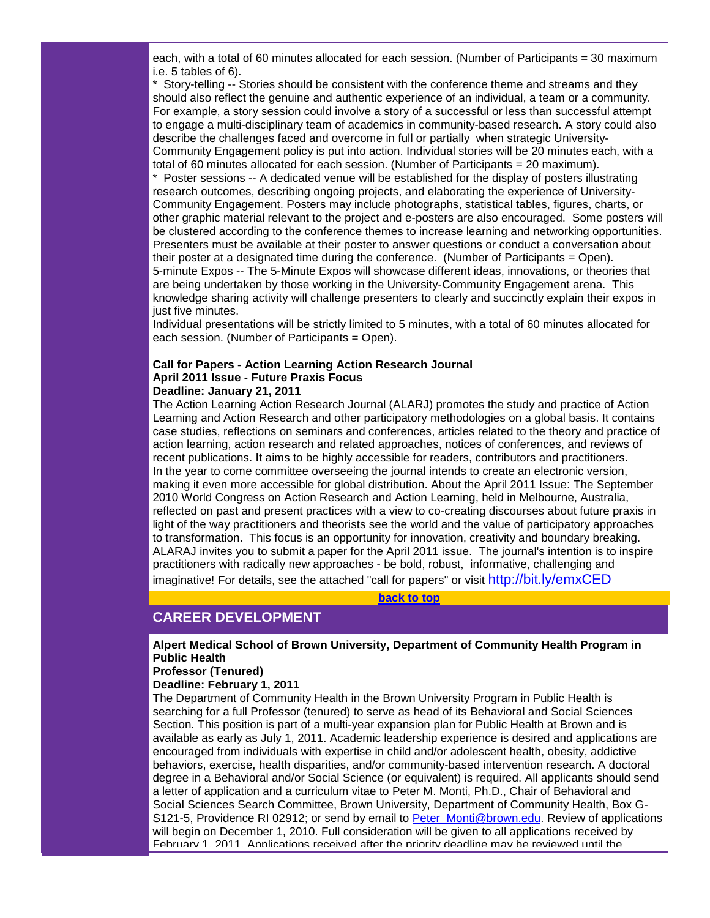each, with a total of 60 minutes allocated for each session. (Number of Participants = 30 maximum i.e. 5 tables of 6).

\* Story-telling -- Stories should be consistent with the conference theme and streams and they should also reflect the genuine and authentic experience of an individual, a team or a community. For example, a story session could involve a story of a successful or less than successful attempt to engage a multi-disciplinary team of academics in community-based research. A story could also describe the challenges faced and overcome in full or partially when strategic University-Community Engagement policy is put into action. Individual stories will be 20 minutes each, with a total of 60 minutes allocated for each session. (Number of Participants = 20 maximum).

\* Poster sessions -- A dedicated venue will be established for the display of posters illustrating research outcomes, describing ongoing projects, and elaborating the experience of University-Community Engagement. Posters may include photographs, statistical tables, figures, charts, or other graphic material relevant to the project and e-posters are also encouraged. Some posters will be clustered according to the conference themes to increase learning and networking opportunities. Presenters must be available at their poster to answer questions or conduct a conversation about their poster at a designated time during the conference. (Number of Participants = Open). 5-minute Expos -- The 5-Minute Expos will showcase different ideas, innovations, or theories that are being undertaken by those working in the University-Community Engagement arena. This knowledge sharing activity will challenge presenters to clearly and succinctly explain their expos in just five minutes.

Individual presentations will be strictly limited to 5 minutes, with a total of 60 minutes allocated for each session. (Number of Participants = Open).

#### **Call for Papers - Action Learning Action Research Journal April 2011 Issue - Future Praxis Focus Deadline: January 21, 2011**

The Action Learning Action Research Journal (ALARJ) promotes the study and practice of Action Learning and Action Research and other participatory methodologies on a global basis. It contains case studies, reflections on seminars and conferences, articles related to the theory and practice of action learning, action research and related approaches, notices of conferences, and reviews of recent publications. It aims to be highly accessible for readers, contributors and practitioners. In the year to come committee overseeing the journal intends to create an electronic version, making it even more accessible for global distribution. About the April 2011 Issue: The September 2010 World Congress on Action Research and Action Learning, held in Melbourne, Australia, reflected on past and present practices with a view to co-creating discourses about future praxis in light of the way practitioners and theorists see the world and the value of participatory approaches to transformation. This focus is an opportunity for innovation, creativity and boundary breaking. ALARAJ invites you to submit a paper for the April 2011 issue. The journal's intention is to inspire practitioners with radically new approaches - be bold, robust, informative, challenging and imaginative! For details, see the attached "call for papers" or visit [http://bit.ly/emxCED](http://r20.rs6.net/tn.jsp?llr=5gytkqcab&et=1104038057191&s=1&e=0017q8tSuYwGc9kZsv-l_r1YxsOypEZmNQVKBgt4uycLePotreiMpbVKRP3ET-5KEtlBGBpct9isMAUV0ZML-XP4WMZsVmJBDF4IEDEcaDpjxk=)

**[back to top](#page-0-3)**

# <span id="page-8-0"></span>**CAREER DEVELOPMENT**

**Alpert Medical School of Brown University, Department of Community Health Program in Public Health**

#### **Professor (Tenured)**

**Deadline: February 1, 2011**

The Department of Community Health in the Brown University Program in Public Health is searching for a full Professor (tenured) to serve as head of its Behavioral and Social Sciences Section. This position is part of a multi-year expansion plan for Public Health at Brown and is available as early as July 1, 2011. Academic leadership experience is desired and applications are encouraged from individuals with expertise in child and/or adolescent health, obesity, addictive behaviors, exercise, health disparities, and/or community-based intervention research. A doctoral degree in a Behavioral and/or Social Science (or equivalent) is required. All applicants should send a letter of application and a curriculum vitae to Peter M. Monti, Ph.D., Chair of Behavioral and Social Sciences Search Committee, Brown University, Department of Community Health, Box G-S121-5, Providence RI 02912; or send by email to [Peter\\_Monti@brown.edu.](mailto:Peter_Monti@brown.edu) Review of applications will begin on December 1, 2010. Full consideration will be given to all applications received by February 1, 2011. Applications received after the priority deadline may be reviewed until the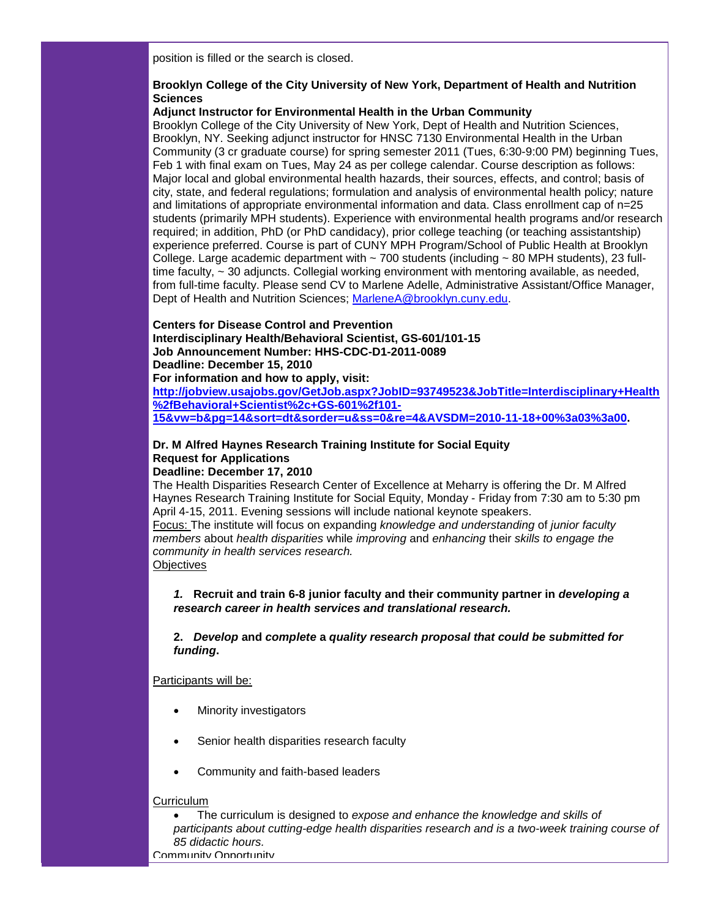position is filled or the search is closed.

#### **Brooklyn College of the City University of New York, Department of Health and Nutrition Sciences**

#### **Adjunct Instructor for Environmental Health in the Urban Community**

Brooklyn College of the City University of New York, Dept of Health and Nutrition Sciences, Brooklyn, NY. Seeking adjunct instructor for HNSC 7130 Environmental Health in the Urban Community (3 cr graduate course) for spring semester 2011 (Tues, 6:30-9:00 PM) beginning Tues, Feb 1 with final exam on Tues, May 24 as per college calendar. Course description as follows: Major local and global environmental health hazards, their sources, effects, and control; basis of city, state, and federal regulations; formulation and analysis of environmental health policy; nature and limitations of appropriate environmental information and data. Class enrollment cap of n=25 students (primarily MPH students). Experience with environmental health programs and/or research required; in addition, PhD (or PhD candidacy), prior college teaching (or teaching assistantship) experience preferred. Course is part of CUNY MPH Program/School of Public Health at Brooklyn College. Large academic department with  $\sim$  700 students (including  $\sim$  80 MPH students), 23 fulltime faculty,  $\sim$  30 adjuncts. Collegial working environment with mentoring available, as needed, from full-time faculty. Please send CV to Marlene Adelle, Administrative Assistant/Office Manager, Dept of Health and Nutrition Sciences; [MarleneA@brooklyn.cuny.edu.](mailto:MarleneA@brooklyn.cuny.edu)

#### **Centers for Disease Control and Prevention**

**Interdisciplinary Health/Behavioral Scientist, GS-601/101-15 Job Announcement Number: HHS-CDC-D1-2011-0089 Deadline: December 15, 2010 For information and how to apply, visit:**

**[http://jobview.usajobs.gov/GetJob.aspx?JobID=93749523&JobTitle=Interdisciplinary+Health](http://r20.rs6.net/tn.jsp?llr=5gytkqcab&et=1104038057191&s=1&e=0017q8tSuYwGc8v1DRDJGqwQ7qgIND-_kwHO_xtja_HlKcrZJBDl5ZyBXWwHbWHMLHNHIBaPLTl28_BGDNxD5QdVMWx64RctSCLTb5faOMbouaFQlIMdcI0uOFQ0Ed-I4zQFh_CTJ8CTrnvWhtLkxw-Ekofr968PCrbwmJX6TsvOXUZT1BkNw3IUGG9sxRZZ7ONvDfV9i_fXalpGIcmtOABcULgHGpWdkazYUzxCFzedGSQmbw-jruHS-BpOq7W1d8SxNMDQyREvJ6wzQs7HAg1Dev3vYuVgHHG2oOse44oXvU4UQzKyz2GjyXpvMTuzigKCtbWeXWzMiakXLEwJrdedRcY99lpElRP1osD9wbSKIykZfhemv_IPRBlwehkeMEoRzlUlNaxL-qimGbmHxpHAY_GvAidvcZE) [%2fBehavioral+Scientist%2c+GS-601%2f101-](http://r20.rs6.net/tn.jsp?llr=5gytkqcab&et=1104038057191&s=1&e=0017q8tSuYwGc8v1DRDJGqwQ7qgIND-_kwHO_xtja_HlKcrZJBDl5ZyBXWwHbWHMLHNHIBaPLTl28_BGDNxD5QdVMWx64RctSCLTb5faOMbouaFQlIMdcI0uOFQ0Ed-I4zQFh_CTJ8CTrnvWhtLkxw-Ekofr968PCrbwmJX6TsvOXUZT1BkNw3IUGG9sxRZZ7ONvDfV9i_fXalpGIcmtOABcULgHGpWdkazYUzxCFzedGSQmbw-jruHS-BpOq7W1d8SxNMDQyREvJ6wzQs7HAg1Dev3vYuVgHHG2oOse44oXvU4UQzKyz2GjyXpvMTuzigKCtbWeXWzMiakXLEwJrdedRcY99lpElRP1osD9wbSKIykZfhemv_IPRBlwehkeMEoRzlUlNaxL-qimGbmHxpHAY_GvAidvcZE) [15&vw=b&pg=14&sort=dt&sorder=u&ss=0&re=4&AVSDM=2010-11-18+00%3a03%3a00.](http://r20.rs6.net/tn.jsp?llr=5gytkqcab&et=1104038057191&s=1&e=0017q8tSuYwGc8v1DRDJGqwQ7qgIND-_kwHO_xtja_HlKcrZJBDl5ZyBXWwHbWHMLHNHIBaPLTl28_BGDNxD5QdVMWx64RctSCLTb5faOMbouaFQlIMdcI0uOFQ0Ed-I4zQFh_CTJ8CTrnvWhtLkxw-Ekofr968PCrbwmJX6TsvOXUZT1BkNw3IUGG9sxRZZ7ONvDfV9i_fXalpGIcmtOABcULgHGpWdkazYUzxCFzedGSQmbw-jruHS-BpOq7W1d8SxNMDQyREvJ6wzQs7HAg1Dev3vYuVgHHG2oOse44oXvU4UQzKyz2GjyXpvMTuzigKCtbWeXWzMiakXLEwJrdedRcY99lpElRP1osD9wbSKIykZfhemv_IPRBlwehkeMEoRzlUlNaxL-qimGbmHxpHAY_GvAidvcZE)** 

#### **Dr. M Alfred Haynes Research Training Institute for Social Equity Request for Applications Deadline: December 17, 2010**

The Health Disparities Research Center of Excellence at Meharry is offering the Dr. M Alfred Haynes Research Training Institute for Social Equity, Monday - Friday from 7:30 am to 5:30 pm April 4-15, 2011. Evening sessions will include national keynote speakers.

Focus: The institute will focus on expanding *knowledge and understanding* of *junior faculty members* about *health disparities* while *improving* and *enhancing* their *skills to engage the community in health services research.* 

**Objectives** 

#### *1.* **Recruit and train 6-8 junior faculty and their community partner in** *developing a research career in health services and translational research.*

**2.** *Develop* **and** *complete* **a** *quality research proposal that could be submitted for funding***.**

#### Participants will be:

- **Minority investigators**
- Senior health disparities research faculty
- Community and faith-based leaders

#### **Curriculum**

• The curriculum is designed to *expose and enhance the knowledge and skills of participants about cutting-edge health disparities research and is a two-week training course of 85 didactic hours.* Community Opportunity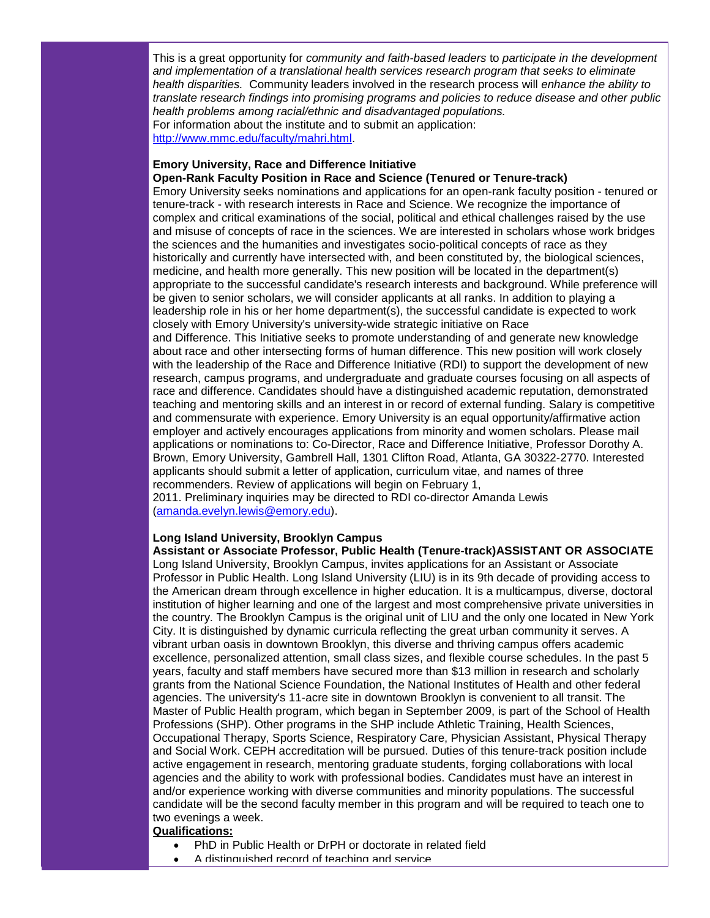This is a great opportunity for *community and faith-based leaders* to *participate in the development and implementation of a translational health services research program that seeks to eliminate health disparities.* Community leaders involved in the research process will *enhance the ability to translate research findings into promising programs and policies to reduce disease and other public health problems among racial/ethnic and disadvantaged populations.*  For information about the institute and to submit an application: [http://www.mmc.edu/faculty/mahri.html.](http://r20.rs6.net/tn.jsp?llr=5gytkqcab&et=1104038057191&s=1&e=0017q8tSuYwGc900xepMrvFuOZ5jqgPDK1cVijpCQrAIh1KzC-RPxnO9igz9SqgrJsYoPIC4bMWDAtYHJ4CS0FhD1YEJQs8Sk8CAlLZGHNF7JV_WFL9cBLSTtbydq_KXj2C)

#### **Emory University, Race and Difference Initiative**

#### **Open-Rank Faculty Position in Race and Science (Tenured or Tenure-track)**

Emory University seeks nominations and applications for an open-rank faculty position - tenured or tenure-track - with research interests in Race and Science. We recognize the importance of complex and critical examinations of the social, political and ethical challenges raised by the use and misuse of concepts of race in the sciences. We are interested in scholars whose work bridges the sciences and the humanities and investigates socio-political concepts of race as they historically and currently have intersected with, and been constituted by, the biological sciences, medicine, and health more generally. This new position will be located in the department(s) appropriate to the successful candidate's research interests and background. While preference will be given to senior scholars, we will consider applicants at all ranks. In addition to playing a leadership role in his or her home department(s), the successful candidate is expected to work closely with Emory University's university-wide strategic initiative on Race and Difference. This Initiative seeks to promote understanding of and generate new knowledge about race and other intersecting forms of human difference. This new position will work closely with the leadership of the Race and Difference Initiative (RDI) to support the development of new research, campus programs, and undergraduate and graduate courses focusing on all aspects of race and difference. Candidates should have a distinguished academic reputation, demonstrated teaching and mentoring skills and an interest in or record of external funding. Salary is competitive and commensurate with experience. Emory University is an equal opportunity/affirmative action

employer and actively encourages applications from minority and women scholars. Please mail applications or nominations to: Co-Director, Race and Difference Initiative, Professor Dorothy A. Brown, Emory University, Gambrell Hall, 1301 Clifton Road, Atlanta, GA 30322-2770. Interested applicants should submit a letter of application, curriculum vitae, and names of three recommenders. Review of applications will begin on February 1,

2011. Preliminary inquiries may be directed to RDI co-director Amanda Lewis [\(amanda.evelyn.lewis@emory.edu\)](mailto:amanda.evelyn.lewis@emory.edu).

# **Long Island University, Brooklyn Campus**

**Assistant or Associate Professor, Public Health (Tenure-track)ASSISTANT OR ASSOCIATE**  Long Island University, Brooklyn Campus, invites applications for an Assistant or Associate Professor in Public Health. Long Island University (LIU) is in its 9th decade of providing access to the American dream through excellence in higher education. It is a multicampus, diverse, doctoral institution of higher learning and one of the largest and most comprehensive private universities in the country. The Brooklyn Campus is the original unit of LIU and the only one located in New York City. It is distinguished by dynamic curricula reflecting the great urban community it serves. A vibrant urban oasis in downtown Brooklyn, this diverse and thriving campus offers academic excellence, personalized attention, small class sizes, and flexible course schedules. In the past 5 years, faculty and staff members have secured more than \$13 million in research and scholarly grants from the National Science Foundation, the National Institutes of Health and other federal agencies. The university's 11-acre site in downtown Brooklyn is convenient to all transit. The Master of Public Health program, which began in September 2009, is part of the School of Health Professions (SHP). Other programs in the SHP include Athletic Training, Health Sciences, Occupational Therapy, Sports Science, Respiratory Care, Physician Assistant, Physical Therapy and Social Work. CEPH accreditation will be pursued. Duties of this tenure-track position include active engagement in research, mentoring graduate students, forging collaborations with local agencies and the ability to work with professional bodies. Candidates must have an interest in and/or experience working with diverse communities and minority populations. The successful candidate will be the second faculty member in this program and will be required to teach one to two evenings a week. **Qualifications:**

- PhD in Public Health or DrPH or doctorate in related field
- A distinguished record of teaching and service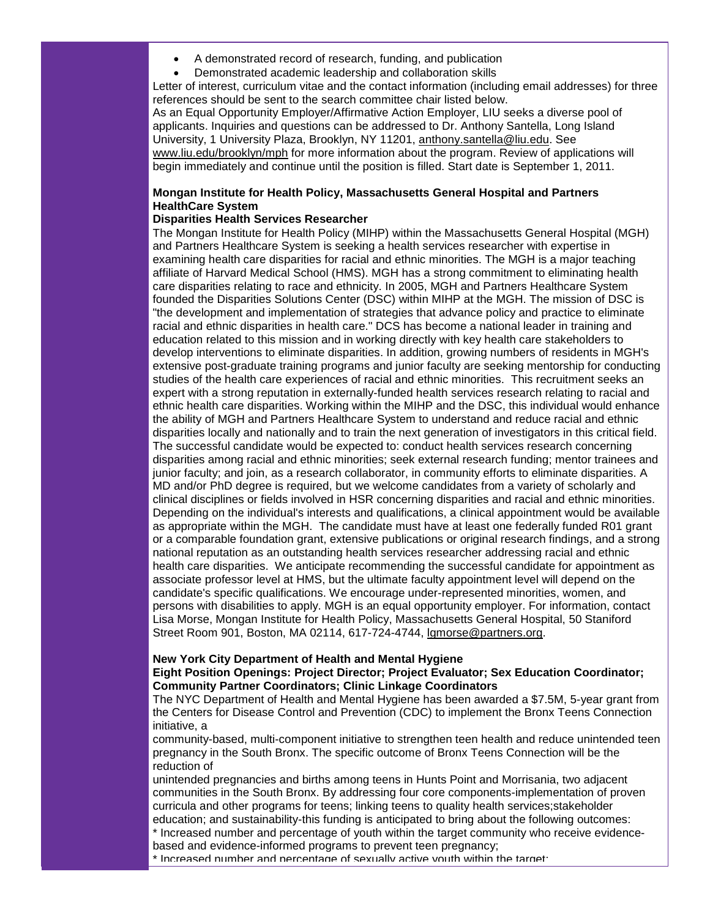- A demonstrated record of research, funding, and publication
- Demonstrated academic leadership and collaboration skills

Letter of interest, curriculum vitae and the contact information (including email addresses) for three references should be sent to the search committee chair listed below.

As an Equal Opportunity Employer/Affirmative Action Employer, LIU seeks a diverse pool of applicants. Inquiries and questions can be addressed to Dr. Anthony Santella, Long Island University, 1 University Plaza, Brooklyn, NY 11201, [anthony.santella@liu.edu.](mailto:anthony.santella@liu.edu) See [www.liu.edu/brooklyn/mph](http://r20.rs6.net/tn.jsp?llr=5gytkqcab&et=1104038057191&s=1&e=0017q8tSuYwGc-d0ebrCuhmGKNIBDYRu9b4ckubCtw0cJgMKPOl0MvI1zwgUURpbkQxTCrsWx2z8gA-cIUIgfLBwfkV7rBhYvLzh_j0gEcJU8wJ3hVdC1k9QUk0XedwKo5k) for more information about the program. Review of applications will begin immediately and continue until the position is filled. Start date is September 1, 2011.

#### **Mongan Institute for Health Policy, Massachusetts General Hospital and Partners HealthCare System**

#### **Disparities Health Services Researcher**

The Mongan Institute for Health Policy (MIHP) within the Massachusetts General Hospital (MGH) and Partners Healthcare System is seeking a health services researcher with expertise in examining health care disparities for racial and ethnic minorities. The MGH is a major teaching affiliate of Harvard Medical School (HMS). MGH has a strong commitment to eliminating health care disparities relating to race and ethnicity. In 2005, MGH and Partners Healthcare System founded the Disparities Solutions Center (DSC) within MIHP at the MGH. The mission of DSC is "the development and implementation of strategies that advance policy and practice to eliminate racial and ethnic disparities in health care." DCS has become a national leader in training and education related to this mission and in working directly with key health care stakeholders to develop interventions to eliminate disparities. In addition, growing numbers of residents in MGH's extensive post-graduate training programs and junior faculty are seeking mentorship for conducting studies of the health care experiences of racial and ethnic minorities. This recruitment seeks an expert with a strong reputation in externally-funded health services research relating to racial and ethnic health care disparities. Working within the MIHP and the DSC, this individual would enhance the ability of MGH and Partners Healthcare System to understand and reduce racial and ethnic disparities locally and nationally and to train the next generation of investigators in this critical field. The successful candidate would be expected to: conduct health services research concerning disparities among racial and ethnic minorities; seek external research funding; mentor trainees and junior faculty; and join, as a research collaborator, in community efforts to eliminate disparities. A MD and/or PhD degree is required, but we welcome candidates from a variety of scholarly and clinical disciplines or fields involved in HSR concerning disparities and racial and ethnic minorities. Depending on the individual's interests and qualifications, a clinical appointment would be available as appropriate within the MGH. The candidate must have at least one federally funded R01 grant or a comparable foundation grant, extensive publications or original research findings, and a strong national reputation as an outstanding health services researcher addressing racial and ethnic health care disparities. We anticipate recommending the successful candidate for appointment as associate professor level at HMS, but the ultimate faculty appointment level will depend on the candidate's specific qualifications. We encourage under-represented minorities, women, and persons with disabilities to apply. MGH is an equal opportunity employer. For information, contact Lisa Morse, Mongan Institute for Health Policy, Massachusetts General Hospital, 50 Staniford Street Room 901, Boston, MA 02114, 617-724-4744, [lgmorse@partners.org.](mailto:lgmorse@partners.org)

## **New York City Department of Health and Mental Hygiene**

#### **Eight Position Openings: Project Director; Project Evaluator; Sex Education Coordinator; Community Partner Coordinators; Clinic Linkage Coordinators**

The NYC Department of Health and Mental Hygiene has been awarded a \$7.5M, 5-year grant from the Centers for Disease Control and Prevention (CDC) to implement the Bronx Teens Connection initiative, a

community-based, multi-component initiative to strengthen teen health and reduce unintended teen pregnancy in the South Bronx. The specific outcome of Bronx Teens Connection will be the reduction of

unintended pregnancies and births among teens in Hunts Point and Morrisania, two adjacent communities in the South Bronx. By addressing four core components-implementation of proven curricula and other programs for teens; linking teens to quality health services;stakeholder education; and sustainability-this funding is anticipated to bring about the following outcomes:

\* Increased number and percentage of youth within the target community who receive evidencebased and evidence-informed programs to prevent teen pregnancy;

\* Increased number and percentage of sexually active youth within the target;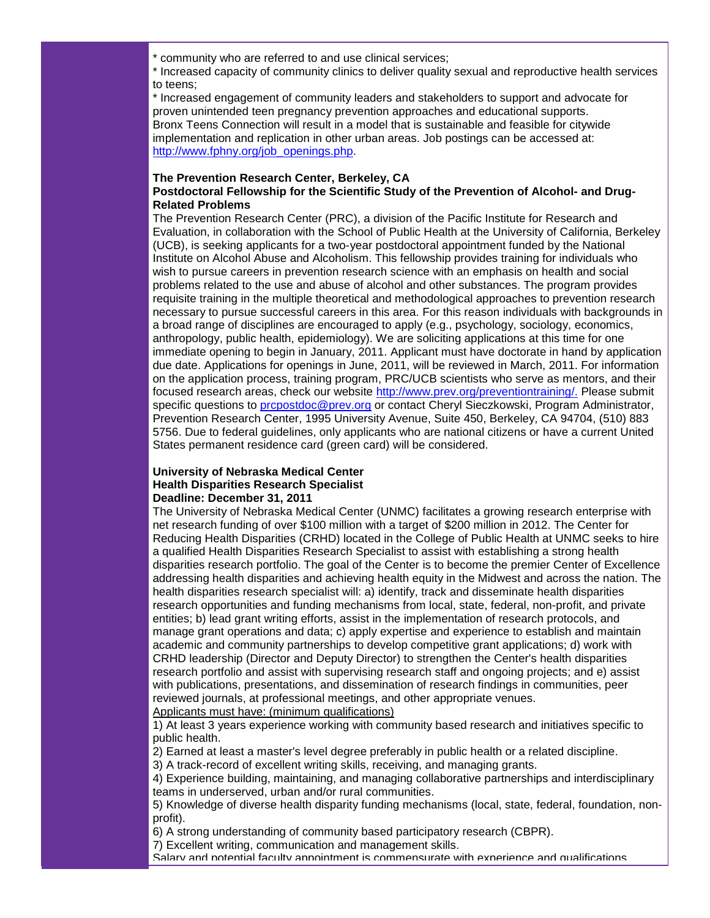\* community who are referred to and use clinical services;

\* Increased capacity of community clinics to deliver quality sexual and reproductive health services to teens;

\* Increased engagement of community leaders and stakeholders to support and advocate for proven unintended teen pregnancy prevention approaches and educational supports. Bronx Teens Connection will result in a model that is sustainable and feasible for citywide implementation and replication in other urban areas. Job postings can be accessed at: [http://www.fphny.org/job\\_openings.php.](http://r20.rs6.net/tn.jsp?llr=5gytkqcab&et=1104038057191&s=1&e=0017q8tSuYwGc9D-K_rNr4MgFvQ4x4DVFvsC6CJOW5Yo3_FRaCm5raq_-GfugCoDfiLZJcjnYohUG9sBqIBxSs7gUnRNQ9i01Z6MubM0aVJjr1JhUvk2HlUkGHBauW8qjxm)

#### **The Prevention Research Center, Berkeley, CA Postdoctoral Fellowship for the Scientific Study of the Prevention of Alcohol- and Drug-Related Problems**

The Prevention Research Center (PRC), a division of the Pacific Institute for Research and Evaluation, in collaboration with the School of Public Health at the University of California, Berkeley (UCB), is seeking applicants for a two-year postdoctoral appointment funded by the National Institute on Alcohol Abuse and Alcoholism. This fellowship provides training for individuals who wish to pursue careers in prevention research science with an emphasis on health and social problems related to the use and abuse of alcohol and other substances. The program provides requisite training in the multiple theoretical and methodological approaches to prevention research necessary to pursue successful careers in this area. For this reason individuals with backgrounds in a broad range of disciplines are encouraged to apply (e.g., psychology, sociology, economics, anthropology, public health, epidemiology). We are soliciting applications at this time for one immediate opening to begin in January, 2011. Applicant must have doctorate in hand by application due date. Applications for openings in June, 2011, will be reviewed in March, 2011. For information on the application process, training program, PRC/UCB scientists who serve as mentors, and their focused research areas, check our website [http://www.prev.org/preventiontraining/.](http://r20.rs6.net/tn.jsp?llr=5gytkqcab&et=1104038057191&s=1&e=0017q8tSuYwGc9Hu1XCsB7piaKwsscbxHMuOwMoCp_nRL0C9T3I3VTA4SG_uPaRJU96ArEdtPltEFzDOYeJubpSuzSoOpa9oPGWqGNMTOMMARE6zE4UwEiWTxrHfosAKRtLwikvzDmHP7o=) Please submit specific questions to [prcpostdoc@prev.org](mailto:prcpostdoc@prev.org) or contact Cheryl Sieczkowski, Program Administrator, Prevention Research Center, 1995 University Avenue, Suite 450, Berkeley, CA 94704, (510) 883 5756. Due to federal guidelines, only applicants who are national citizens or have a current United States permanent residence card (green card) will be considered.

#### **University of Nebraska Medical Center Health Disparities Research Specialist Deadline: December 31, 2011**

The University of Nebraska Medical Center (UNMC) facilitates a growing research enterprise with net research funding of over \$100 million with a target of \$200 million in 2012. The Center for Reducing Health Disparities (CRHD) located in the College of Public Health at UNMC seeks to hire a qualified Health Disparities Research Specialist to assist with establishing a strong health disparities research portfolio. The goal of the Center is to become the premier Center of Excellence addressing health disparities and achieving health equity in the Midwest and across the nation. The health disparities research specialist will: a) identify, track and disseminate health disparities research opportunities and funding mechanisms from local, state, federal, non-profit, and private entities; b) lead grant writing efforts, assist in the implementation of research protocols, and manage grant operations and data; c) apply expertise and experience to establish and maintain academic and community partnerships to develop competitive grant applications; d) work with CRHD leadership (Director and Deputy Director) to strengthen the Center's health disparities research portfolio and assist with supervising research staff and ongoing projects; and e) assist with publications, presentations, and dissemination of research findings in communities, peer reviewed journals, at professional meetings, and other appropriate venues. Applicants must have: (minimum qualifications)

1) At least 3 years experience working with community based research and initiatives specific to public health.

2) Earned at least a master's level degree preferably in public health or a related discipline.

3) A track-record of excellent writing skills, receiving, and managing grants.

4) Experience building, maintaining, and managing collaborative partnerships and interdisciplinary teams in underserved, urban and/or rural communities.

5) Knowledge of diverse health disparity funding mechanisms (local, state, federal, foundation, nonprofit).

6) A strong understanding of community based participatory research (CBPR).

7) Excellent writing, communication and management skills.

Salary and potential faculty appointment is commensurate with experience and qualifications.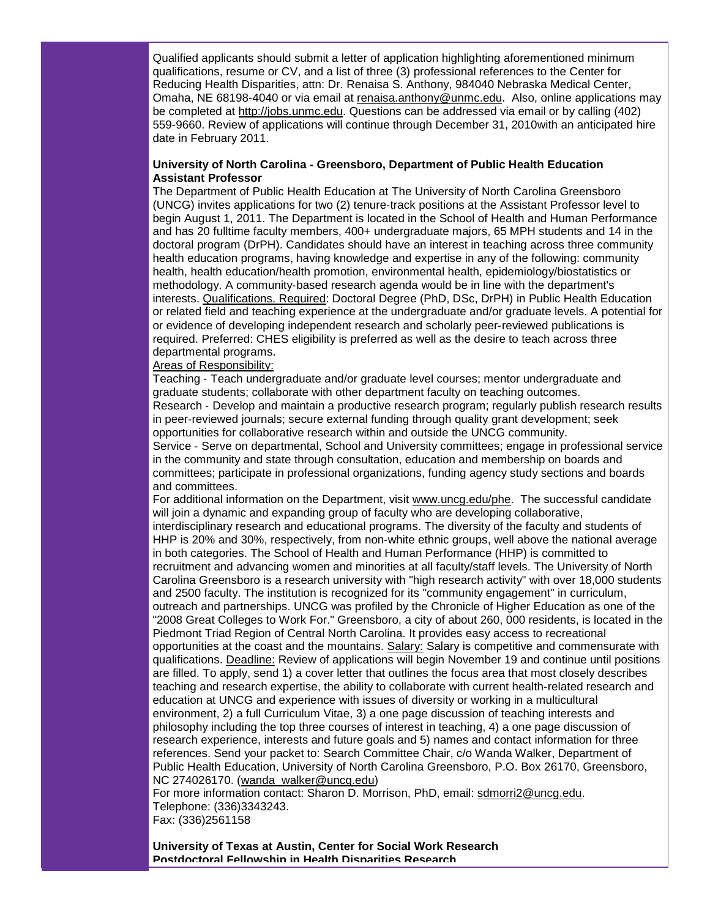Qualified applicants should submit a letter of application highlighting aforementioned minimum qualifications, resume or CV, and a list of three (3) professional references to the Center for Reducing Health Disparities, attn: Dr. Renaisa S. Anthony, 984040 Nebraska Medical Center, Omaha, NE 68198-4040 or via email at [renaisa.anthony@unmc.edu.](mailto:renaisa.anthony@unmc.edu) Also, online applications may be completed at [http://jobs.unmc.edu.](http://r20.rs6.net/tn.jsp?llr=5gytkqcab&et=1104038057191&s=1&e=0017q8tSuYwGc_aPrT62fwSRDmoZk20C8oAod8HL3ckyyleLkzxAcvS1Mr9InAwskIfq17joq-XbF-X5zpzDaoNP-9dLi0EwqepAdnEjbDn-AI=) Questions can be addressed via email or by calling (402) 559-9660. Review of applications will continue through December 31, 2010with an anticipated hire date in February 2011.

#### **University of North Carolina - Greensboro, Department of Public Health Education Assistant Professor**

The Department of Public Health Education at The University of North Carolina Greensboro (UNCG) invites applications for two (2) tenure-track positions at the Assistant Professor level to begin August 1, 2011. The Department is located in the School of Health and Human Performance and has 20 fulltime faculty members, 400+ undergraduate majors, 65 MPH students and 14 in the doctoral program (DrPH). Candidates should have an interest in teaching across three community health education programs, having knowledge and expertise in any of the following: community health, health education/health promotion, environmental health, epidemiology/biostatistics or methodology. A community-based research agenda would be in line with the department's interests. Qualifications. Required: Doctoral Degree (PhD, DSc, DrPH) in Public Health Education or related field and teaching experience at the undergraduate and/or graduate levels. A potential for or evidence of developing independent research and scholarly peer-reviewed publications is required. Preferred: CHES eligibility is preferred as well as the desire to teach across three departmental programs.

#### Areas of Responsibility:

Teaching - Teach undergraduate and/or graduate level courses; mentor undergraduate and graduate students; collaborate with other department faculty on teaching outcomes. Research - Develop and maintain a productive research program; regularly publish research results in peer-reviewed journals; secure external funding through quality grant development; seek opportunities for collaborative research within and outside the UNCG community.

Service - Serve on departmental, School and University committees; engage in professional service in the community and state through consultation, education and membership on boards and committees; participate in professional organizations, funding agency study sections and boards and committees.

For additional information on the Department, visit [www.uncg.edu/phe.](http://r20.rs6.net/tn.jsp?llr=5gytkqcab&et=1104038057191&s=1&e=0017q8tSuYwGc9VBH-YkxMKCoxN305NABpRp7yIwsUu_LHtkggNFlzU7uPXhXQQ0hI_NQDKb-2M3lGTlbv5cnYmBn3ACgloPCZUvLhX5BQU1ek=) The successful candidate will join a dynamic and expanding group of faculty who are developing collaborative, interdisciplinary research and educational programs. The diversity of the faculty and students of HHP is 20% and 30%, respectively, from non-white ethnic groups, well above the national average in both categories. The School of Health and Human Performance (HHP) is committed to recruitment and advancing women and minorities at all faculty/staff levels. The University of North Carolina Greensboro is a research university with "high research activity" with over 18,000 students and 2500 faculty. The institution is recognized for its "community engagement" in curriculum, outreach and partnerships. UNCG was profiled by the Chronicle of Higher Education as one of the "2008 Great Colleges to Work For." Greensboro, a city of about 260, 000 residents, is located in the Piedmont Triad Region of Central North Carolina. It provides easy access to recreational opportunities at the coast and the mountains. Salary: Salary is competitive and commensurate with qualifications. Deadline: Review of applications will begin November 19 and continue until positions are filled. To apply, send 1) a cover letter that outlines the focus area that most closely describes teaching and research expertise, the ability to collaborate with current health-related research and education at UNCG and experience with issues of diversity or working in a multicultural environment, 2) a full Curriculum Vitae, 3) a one page discussion of teaching interests and philosophy including the top three courses of interest in teaching, 4) a one page discussion of research experience, interests and future goals and 5) names and contact information for three references. Send your packet to: Search Committee Chair, c/o Wanda Walker, Department of Public Health Education, University of North Carolina Greensboro, P.O. Box 26170, Greensboro, NC 274026170. [\(wanda\\_walker@uncg.edu\)](mailto:wanda_walker@uncg.edu)

For more information contact: Sharon D. Morrison, PhD, email: [sdmorri2@uncg.edu.](mailto:sdmorri2@uncg.edu) Telephone: (336)3343243.

Fax: (336)2561158

**University of Texas at Austin, Center for Social Work Research Postdoctoral Fellowship in Health Disparities Research**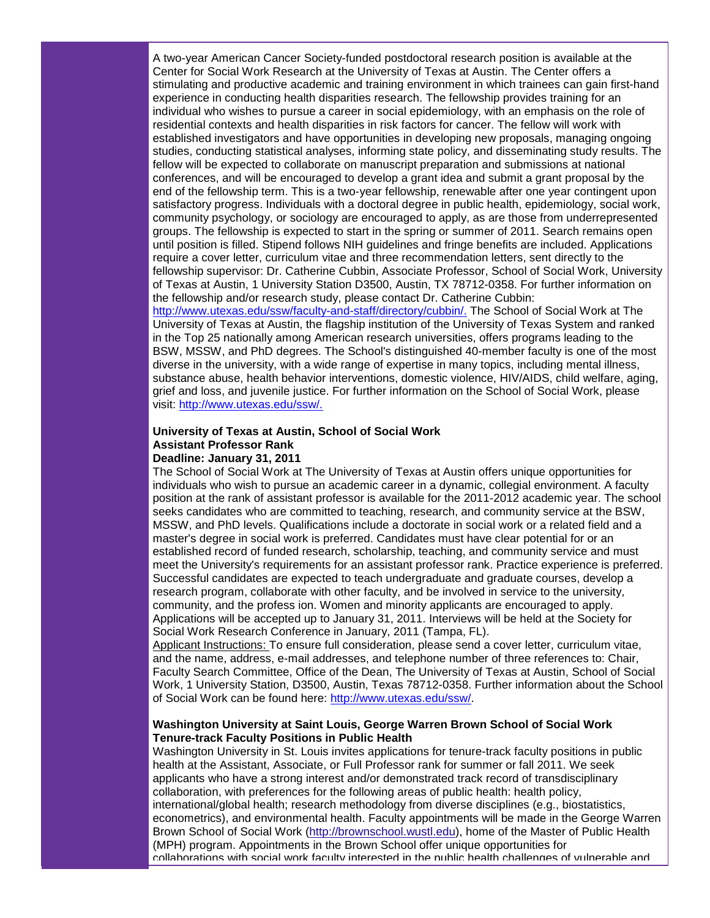A two-year American Cancer Society-funded postdoctoral research position is available at the Center for Social Work Research at the University of Texas at Austin. The Center offers a stimulating and productive academic and training environment in which trainees can gain first-hand experience in conducting health disparities research. The fellowship provides training for an individual who wishes to pursue a career in social epidemiology, with an emphasis on the role of residential contexts and health disparities in risk factors for cancer. The fellow will work with established investigators and have opportunities in developing new proposals, managing ongoing studies, conducting statistical analyses, informing state policy, and disseminating study results. The fellow will be expected to collaborate on manuscript preparation and submissions at national conferences, and will be encouraged to develop a grant idea and submit a grant proposal by the end of the fellowship term. This is a two-year fellowship, renewable after one year contingent upon satisfactory progress. Individuals with a doctoral degree in public health, epidemiology, social work, community psychology, or sociology are encouraged to apply, as are those from underrepresented groups. The fellowship is expected to start in the spring or summer of 2011. Search remains open until position is filled. Stipend follows NIH guidelines and fringe benefits are included. Applications require a cover letter, curriculum vitae and three recommendation letters, sent directly to the fellowship supervisor: Dr. Catherine Cubbin, Associate Professor, School of Social Work, University of Texas at Austin, 1 University Station D3500, Austin, TX 78712-0358. For further information on the fellowship and/or research study, please contact Dr. Catherine Cubbin: [http://www.utexas.edu/ssw/faculty-and-staff/directory/cubbin/.](http://r20.rs6.net/tn.jsp?llr=5gytkqcab&et=1104038057191&s=1&e=0017q8tSuYwGc9-b4KTVpwjFLycXyM9_QQJKtbMNjtr-GaVzf0HZsa6KbksXWvA3VoD0zUgw7ElRoTwdWRLqxAOf-fv2Rq1z6u9PDUuC_CJnHmSwmTG3c2ePkw1k9W01kELFto0M1kk2Dcd-7i_HdX3-e76tpOJdUTeAuAd5y515J8=) The School of Social Work at The

University of Texas at Austin, the flagship institution of the University of Texas System and ranked in the Top 25 nationally among American research universities, offers programs leading to the BSW, MSSW, and PhD degrees. The School's distinguished 40-member faculty is one of the most diverse in the university, with a wide range of expertise in many topics, including mental illness, substance abuse, health behavior interventions, domestic violence, HIV/AIDS, child welfare, aging, grief and loss, and juvenile justice. For further information on the School of Social Work, please visit: [http://www.utexas.edu/ssw/.](http://r20.rs6.net/tn.jsp?llr=5gytkqcab&et=1104038057191&s=1&e=0017q8tSuYwGc8Lp-MVXwQhzyfUlWV6YBdmIY_7URL3Ogn55vv1LYBtnOmOspOJuMMwoOJZTtH4Qgt3j-GOLUdoPlKEPY1flJMgVyMzGwlxR4yT38l2oSeVjw==)

# **University of Texas at Austin, School of Social Work Assistant Professor Rank**

#### **Deadline: January 31, 2011**

The School of Social Work at The University of Texas at Austin offers unique opportunities for individuals who wish to pursue an academic career in a dynamic, collegial environment. A faculty position at the rank of assistant professor is available for the 2011-2012 academic year. The school seeks candidates who are committed to teaching, research, and community service at the BSW, MSSW, and PhD levels. Qualifications include a doctorate in social work or a related field and a master's degree in social work is preferred. Candidates must have clear potential for or an established record of funded research, scholarship, teaching, and community service and must meet the University's requirements for an assistant professor rank. Practice experience is preferred. Successful candidates are expected to teach undergraduate and graduate courses, develop a research program, collaborate with other faculty, and be involved in service to the university, community, and the profess ion. Women and minority applicants are encouraged to apply. Applications will be accepted up to January 31, 2011. Interviews will be held at the Society for Social Work Research Conference in January, 2011 (Tampa, FL).

Applicant Instructions: To ensure full consideration, please send a cover letter, curriculum vitae, and the name, address, e-mail addresses, and telephone number of three references to: Chair, Faculty Search Committee, Office of the Dean, The University of Texas at Austin, School of Social Work, 1 University Station, D3500, Austin, Texas 78712-0358. Further information about the School of Social Work can be found here: [http://www.utexas.edu/ssw/.](http://r20.rs6.net/tn.jsp?llr=5gytkqcab&et=1104038057191&s=1&e=0017q8tSuYwGc8Lp-MVXwQhzyfUlWV6YBdmIY_7URL3Ogn55vv1LYBtnOmOspOJuMMwoOJZTtH4Qgt3j-GOLUdoPlKEPY1flJMgVyMzGwlxR4yT38l2oSeVjw==)

#### **Washington University at Saint Louis, George Warren Brown School of Social Work Tenure-track Faculty Positions in Public Health**

Washington University in St. Louis invites applications for tenure-track faculty positions in public health at the Assistant, Associate, or Full Professor rank for summer or fall 2011. We seek applicants who have a strong interest and/or demonstrated track record of transdisciplinary collaboration, with preferences for the following areas of public health: health policy, international/global health; research methodology from diverse disciplines (e.g., biostatistics, econometrics), and environmental health. Faculty appointments will be made in the George Warren Brown School of Social Work [\(http://brownschool.wustl.edu\)](http://r20.rs6.net/tn.jsp?llr=5gytkqcab&et=1104038057191&s=1&e=0017q8tSuYwGc_2jGzP-_qnCnrSbStWrSyci1QkPaNoZ8ckMC7vggrjWbQmGeRz5sBoj_p4eoPzvK00tCzPjJ88iWHXN7uQf_FPojmHW94wUMu2E0yH-4S-YQ==), home of the Master of Public Health (MPH) program. Appointments in the Brown School offer unique opportunities for collaborations with social work faculty interested in the public health challenges of vulnerable and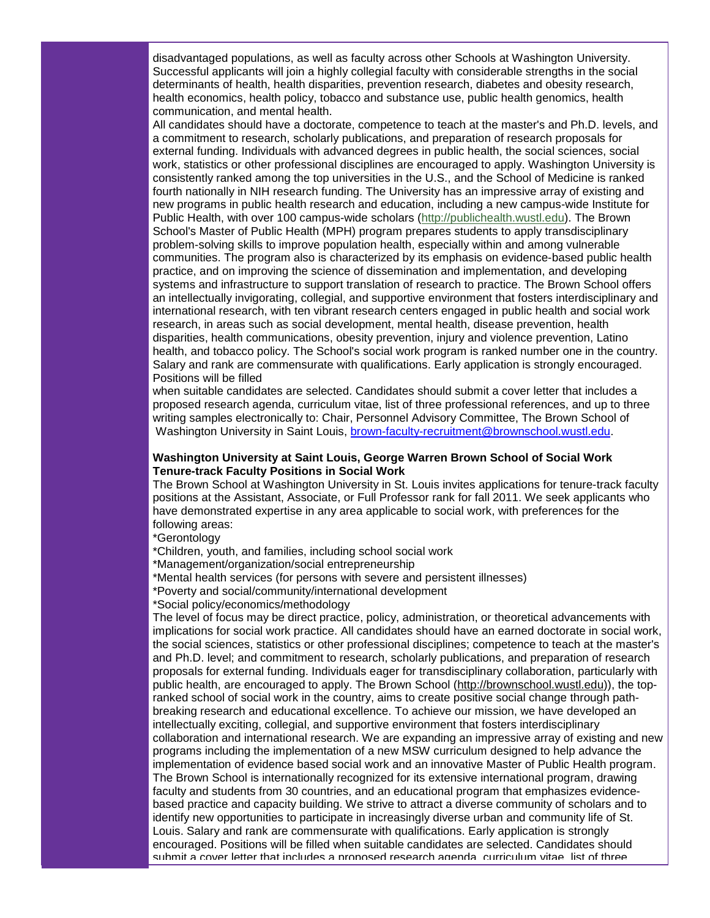disadvantaged populations, as well as faculty across other Schools at Washington University. Successful applicants will join a highly collegial faculty with considerable strengths in the social determinants of health, health disparities, prevention research, diabetes and obesity research, health economics, health policy, tobacco and substance use, public health genomics, health communication, and mental health.

All candidates should have a doctorate, competence to teach at the master's and Ph.D. levels, and a commitment to research, scholarly publications, and preparation of research proposals for external funding. Individuals with advanced degrees in public health, the social sciences, social work, statistics or other professional disciplines are encouraged to apply. Washington University is consistently ranked among the top universities in the U.S., and the School of Medicine is ranked fourth nationally in NIH research funding. The University has an impressive array of existing and new programs in public health research and education, including a new campus-wide Institute for Public Health, with over 100 campus-wide scholars [\(http://publichealth.wustl.edu\)](http://r20.rs6.net/tn.jsp?llr=5gytkqcab&et=1104038057191&s=1&e=0017q8tSuYwGc9qMGVMQtFswdyaM4qNqaXAqgeZjDWUuSINZVv5TcJBKhCn-IKXAcvIijARYittUl1dv3Vd6aDFgqJ8kD9RoM8sKvxhDu1ed0_cVfqpI5QSnQ==). The Brown School's Master of Public Health (MPH) program prepares students to apply transdisciplinary problem-solving skills to improve population health, especially within and among vulnerable communities. The program also is characterized by its emphasis on evidence-based public health practice, and on improving the science of dissemination and implementation, and developing systems and infrastructure to support translation of research to practice. The Brown School offers an intellectually invigorating, collegial, and supportive environment that fosters interdisciplinary and international research, with ten vibrant research centers engaged in public health and social work research, in areas such as social development, mental health, disease prevention, health disparities, health communications, obesity prevention, injury and violence prevention, Latino health, and tobacco policy. The School's social work program is ranked number one in the country. Salary and rank are commensurate with qualifications. Early application is strongly encouraged. Positions will be filled

when suitable candidates are selected. Candidates should submit a cover letter that includes a proposed research agenda, curriculum vitae, list of three professional references, and up to three writing samples electronically to: Chair, Personnel Advisory Committee, The Brown School of Washington University in Saint Louis, [brown-faculty-recruitment@brownschool.wustl.edu.](mailto:brown-faculty-recruitment@brownschool.wustl.edu)

#### **Washington University at Saint Louis, George Warren Brown School of Social Work Tenure-track Faculty Positions in Social Work**

The Brown School at Washington University in St. Louis invites applications for tenure-track faculty positions at the Assistant, Associate, or Full Professor rank for fall 2011. We seek applicants who have demonstrated expertise in any area applicable to social work, with preferences for the following areas:

\*Gerontology

\*Children, youth, and families, including school social work

\*Management/organization/social entrepreneurship

\*Mental health services (for persons with severe and persistent illnesses)

\*Poverty and social/community/international development

\*Social policy/economics/methodology

The level of focus may be direct practice, policy, administration, or theoretical advancements with implications for social work practice. All candidates should have an earned doctorate in social work, the social sciences, statistics or other professional disciplines; competence to teach at the master's and Ph.D. level; and commitment to research, scholarly publications, and preparation of research proposals for external funding. Individuals eager for transdisciplinary collaboration, particularly with public health, are encouraged to apply. The Brown School [\(http://brownschool.wustl.edu\)](http://r20.rs6.net/tn.jsp?llr=5gytkqcab&et=1104038057191&s=1&e=0017q8tSuYwGc_2jGzP-_qnCnrSbStWrSyci1QkPaNoZ8ckMC7vggrjWbQmGeRz5sBoj_p4eoPzvK00tCzPjJ88iWHXN7uQf_FPojmHW94wUMu2E0yH-4S-YQ==)), the topranked school of social work in the country, aims to create positive social change through pathbreaking research and educational excellence. To achieve our mission, we have developed an intellectually exciting, collegial, and supportive environment that fosters interdisciplinary collaboration and international research. We are expanding an impressive array of existing and new programs including the implementation of a new MSW curriculum designed to help advance the implementation of evidence based social work and an innovative Master of Public Health program. The Brown School is internationally recognized for its extensive international program, drawing faculty and students from 30 countries, and an educational program that emphasizes evidencebased practice and capacity building. We strive to attract a diverse community of scholars and to identify new opportunities to participate in increasingly diverse urban and community life of St. Louis. Salary and rank are commensurate with qualifications. Early application is strongly encouraged. Positions will be filled when suitable candidates are selected. Candidates should submit a cover letter that includes a proposed research agenda, curriculum vitae, list of three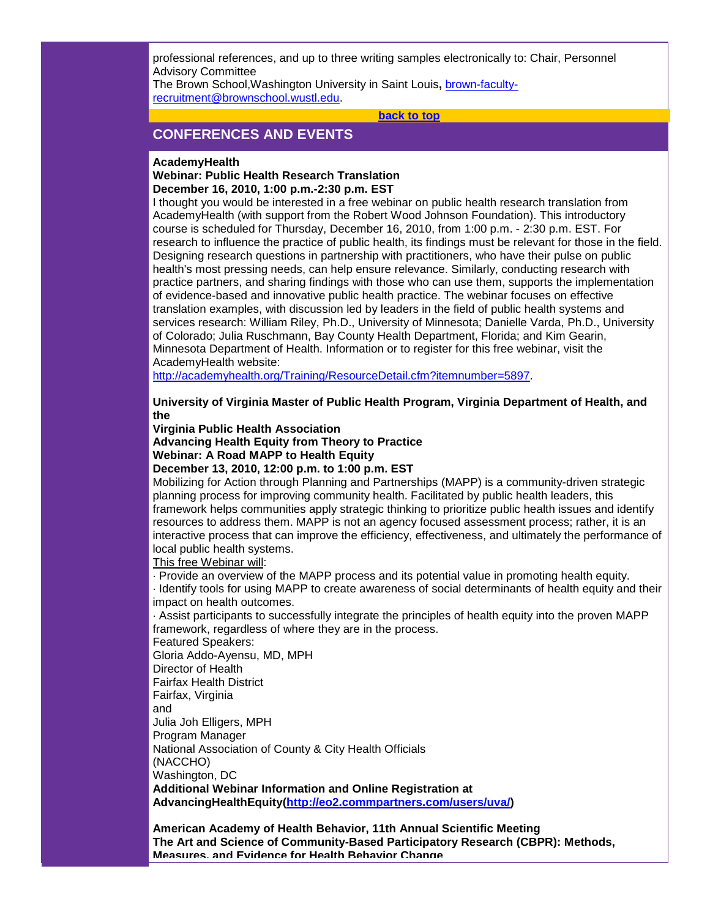professional references, and up to three writing samples electronically to: Chair, Personnel Advisory Committee

The Brown School,Washington University in Saint Louis**,** [brown-faculty](mailto:brown-faculty-recruitment@brownschool.wustl.edu)[recruitment@brownschool.wustl.edu.](mailto:brown-faculty-recruitment@brownschool.wustl.edu)

**[back to top](#page-0-3)**

# <span id="page-16-0"></span>**CONFERENCES AND EVENTS**

#### **AcademyHealth**

#### **Webinar: Public Health Research Translation December 16, 2010, 1:00 p.m.-2:30 p.m. EST**

I thought you would be interested in a free webinar on public health research translation from AcademyHealth (with support from the Robert Wood Johnson Foundation). This introductory course is scheduled for Thursday, December 16, 2010, from 1:00 p.m. - 2:30 p.m. EST. For research to influence the practice of public health, its findings must be relevant for those in the field. Designing research questions in partnership with practitioners, who have their pulse on public health's most pressing needs, can help ensure relevance. Similarly, conducting research with practice partners, and sharing findings with those who can use them, supports the implementation of evidence-based and innovative public health practice. The webinar focuses on effective translation examples, with discussion led by leaders in the field of public health systems and services research: William Riley, Ph.D., University of Minnesota; Danielle Varda, Ph.D., University of Colorado; Julia Ruschmann, Bay County Health Department, Florida; and Kim Gearin, Minnesota Department of Health. Information or to register for this free webinar, visit the AcademyHealth website:

[http://academyhealth.org/Training/ResourceDetail.cfm?itemnumber=5897.](http://r20.rs6.net/tn.jsp?llr=5gytkqcab&et=1104038057191&s=1&e=0017q8tSuYwGc9wmGzlLaFT0qa1lul92cPjWhV9q797UClw6SjgtmWuDJAQESkUqJJhuIfpg7gEcuo7I_kVYQIHQUNFPzUshPlUt7ziLoP760zVE2BN0qm0xMtS11aPBQKxSDvK-I7fTQAlF4tYpSpiAsQkMYALZi5-GbwChHeV3LGiCPxPFw0k1w==)

**University of Virginia Master of Public Health Program, Virginia Department of Health, and the** 

**Virginia Public Health Association**

**Advancing Health Equity from Theory to Practice Webinar: A Road MAPP to Health Equity**

**December 13, 2010, 12:00 p.m. to 1:00 p.m. EST**

Mobilizing for Action through Planning and Partnerships (MAPP) is a community-driven strategic planning process for improving community health. Facilitated by public health leaders, this framework helps communities apply strategic thinking to prioritize public health issues and identify resources to address them. MAPP is not an agency focused assessment process; rather, it is an interactive process that can improve the efficiency, effectiveness, and ultimately the performance of local public health systems.

This free Webinar will:

· Provide an overview of the MAPP process and its potential value in promoting health equity.

· Identify tools for using MAPP to create awareness of social determinants of health equity and their impact on health outcomes.

· Assist participants to successfully integrate the principles of health equity into the proven MAPP framework, regardless of where they are in the process.

Featured Speakers:

Gloria Addo-Ayensu, MD, MPH

Director of Health Fairfax Health District

Fairfax, Virginia

and

Julia Joh Elligers, MPH

Program Manager

National Association of County & City Health Officials

(NACCHO)

Washington, DC

**Additional Webinar Information and Online Registration at AdvancingHealthEquity[\(http://eo2.commpartners.com/users/uva/\)](http://r20.rs6.net/tn.jsp?llr=5gytkqcab&et=1104038057191&s=1&e=0017q8tSuYwGc-QXVjQZCIhVSKc2B3MMR0swLVp82s62s1YxpmcjXzKK_0KZ3KRb1WNMmLuLVbAooNax2Y2ma4sOGbekJ_HE-6NH7IVy1hD5Li8yquH1lT9dmJZeSY1tSxlZA12MZVGKqM=)**

**American Academy of Health Behavior, 11th Annual Scientific Meeting The Art and Science of Community-Based Participatory Research (CBPR): Methods, Measures, and Evidence for Health Behavior Change**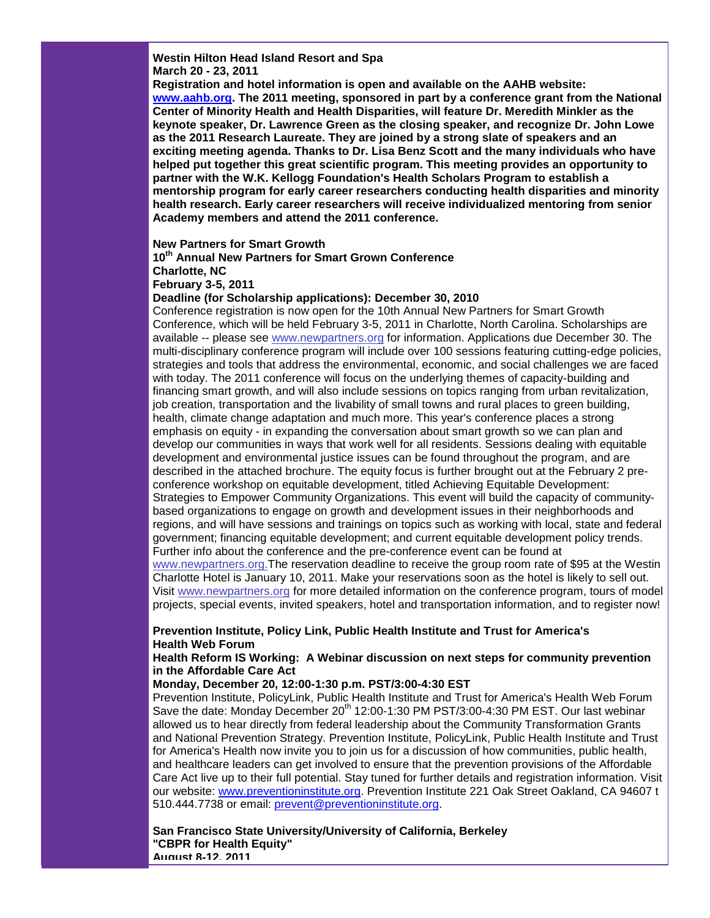**Westin Hilton Head Island Resort and Spa March 20 - 23, 2011**

**Registration and hotel information is open and available on the AAHB website: [www.aahb.org.](http://r20.rs6.net/tn.jsp?llr=5gytkqcab&et=1104038057191&s=1&e=0017q8tSuYwGc-jj-NTPqvFETfY71l-M6nTLcg8UJYUAX9r2Fp8u-qbQJJJPkK6yM7URNDJwWKYD7xDf5TlsS2B-4Hu7Y5Yeiy_njLsH52gIz4=) The 2011 meeting, sponsored in part by a conference grant from the National Center of Minority Health and Health Disparities, will feature Dr. Meredith Minkler as the keynote speaker, Dr. Lawrence Green as the closing speaker, and recognize Dr. John Lowe as the 2011 Research Laureate. They are joined by a strong slate of speakers and an exciting meeting agenda. Thanks to Dr. Lisa Benz Scott and the many individuals who have helped put together this great scientific program. This meeting provides an opportunity to partner with the W.K. Kellogg Foundation's Health Scholars Program to establish a mentorship program for early career researchers conducting health disparities and minority health research. Early career researchers will receive individualized mentoring from senior Academy members and attend the 2011 conference.**

#### **New Partners for Smart Growth**

**10th Annual New Partners for Smart Grown Conference**

**Charlotte, NC**

**February 3-5, 2011**

#### **Deadline (for Scholarship applications): December 30, 2010**

Conference registration is now open for the 10th Annual New Partners for Smart Growth Conference, which will be held February 3-5, 2011 in Charlotte, North Carolina. Scholarships are available -- please see [www.newpartners.org](http://r20.rs6.net/tn.jsp?llr=5gytkqcab&et=1104038057191&s=1&e=0017q8tSuYwGc-eRjVq3nm4kVMjKpF_ISw98N8tJbiIOhY6l5764Cuhk-Xoxg7BRibzMKhRd2TaTAuOrUhYWvO1LkybYr_rVyx0K345O-s7TnuIITwdpVXUvQ==) for information. Applications due December 30. The multi-disciplinary conference program will include over 100 sessions featuring cutting-edge policies, strategies and tools that address the environmental, economic, and social challenges we are faced with today. The 2011 conference will focus on the underlying themes of capacity-building and financing smart growth, and will also include sessions on topics ranging from urban revitalization, job creation, transportation and the livability of small towns and rural places to green building, health, climate change adaptation and much more. This year's conference places a strong emphasis on equity - in expanding the conversation about smart growth so we can plan and develop our communities in ways that work well for all residents. Sessions dealing with equitable development and environmental justice issues can be found throughout the program, and are described in the attached brochure. The equity focus is further brought out at the February 2 preconference workshop on equitable development, titled Achieving Equitable Development: Strategies to Empower Community Organizations. This event will build the capacity of communitybased organizations to engage on growth and development issues in their neighborhoods and regions, and will have sessions and trainings on topics such as working with local, state and federal government; financing equitable development; and current equitable development policy trends. Further info about the conference and the pre-conference event can be found at

[www.newpartners.org.T](http://r20.rs6.net/tn.jsp?llr=5gytkqcab&et=1104038057191&s=1&e=0017q8tSuYwGc-eRjVq3nm4kVMjKpF_ISw98N8tJbiIOhY6l5764Cuhk-Xoxg7BRibzMKhRd2TaTAuOrUhYWvO1LkybYr_rVyx0K345O-s7TnuIITwdpVXUvQ==)he reservation deadline to receive the group room rate of \$95 at the Westin Charlotte Hotel is January 10, 2011. Make your reservations soon as the hotel is likely to sell out. Visit [www.newpartners.org](http://r20.rs6.net/tn.jsp?llr=5gytkqcab&et=1104038057191&s=1&e=0017q8tSuYwGc-eRjVq3nm4kVMjKpF_ISw98N8tJbiIOhY6l5764Cuhk-Xoxg7BRibzMKhRd2TaTAuOrUhYWvO1LkybYr_rVyx0K345O-s7TnuIITwdpVXUvQ==) for more detailed information on the conference program, tours of model projects, special events, invited speakers, hotel and transportation information, and to register now!

#### **Prevention Institute, Policy Link, Public Health Institute and Trust for America's Health Web Forum**

#### **Health Reform IS Working: A Webinar discussion on next steps for community prevention in the Affordable Care Act**

# **Monday, December 20, 12:00-1:30 p.m. PST/3:00-4:30 EST**

Prevention Institute, PolicyLink, Public Health Institute and Trust for America's Health Web Forum Save the date: Monday December 20<sup>th</sup> 12:00-1:30 PM PST/3:00-4:30 PM EST. Our last webinar allowed us to hear directly from federal leadership about the Community Transformation Grants and National Prevention Strategy. Prevention Institute, PolicyLink, Public Health Institute and Trust for America's Health now invite you to join us for a discussion of how communities, public health, and healthcare leaders can get involved to ensure that the prevention provisions of the Affordable Care Act live up to their full potential. Stay tuned for further details and registration information. Visit our website: [www.preventioninstitute.org.](http://r20.rs6.net/tn.jsp?llr=5gytkqcab&et=1104038057191&s=1&e=0017q8tSuYwGc_KkR2qsuD5RdcTsyMytgfGPmsIV0MJmnDErX9o-1HtJNTdk292XzekmRnCnogMj_YberWVsALTDE236yilzMhI0FJVUu-nKytErVL_wFBRjHLW8T9OqSDf) Prevention Institute 221 Oak Street Oakland, CA 94607 t 510.444.7738 or email: [prevent@preventioninstitute.org.](mailto:prevent@preventioninstitute.org)

**San Francisco State University/University of California, Berkeley "CBPR for Health Equity" August 8-12, 2011**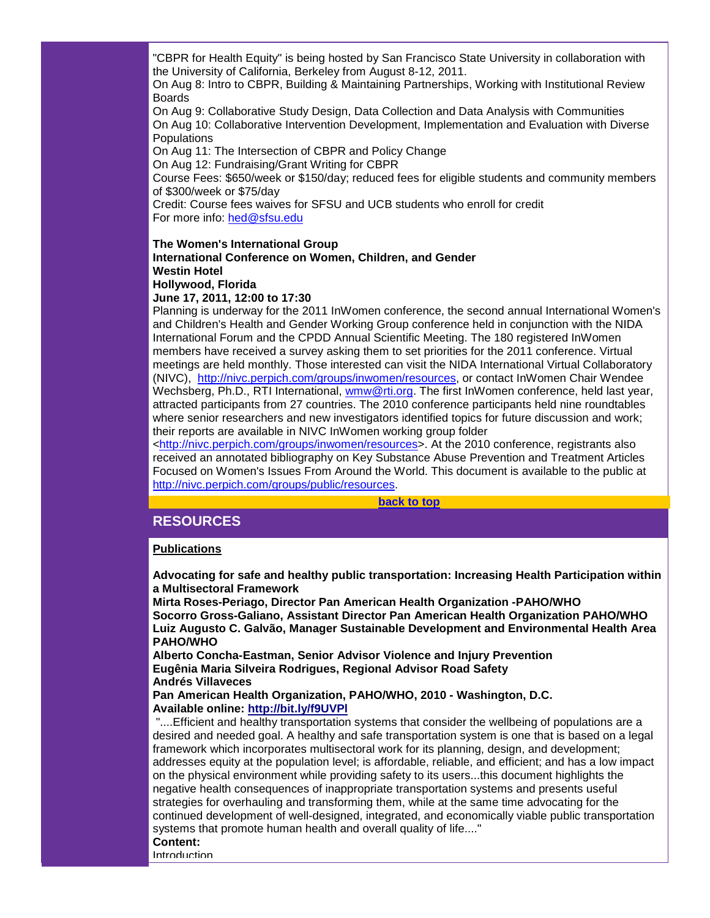"CBPR for Health Equity" is being hosted by San Francisco State University in collaboration with the University of California, Berkeley from August 8-12, 2011.

On Aug 8: Intro to CBPR, Building & Maintaining Partnerships, Working with Institutional Review Boards

On Aug 9: Collaborative Study Design, Data Collection and Data Analysis with Communities On Aug 10: Collaborative Intervention Development, Implementation and Evaluation with Diverse **Populations** 

On Aug 11: The Intersection of CBPR and Policy Change

On Aug 12: Fundraising/Grant Writing for CBPR

Course Fees: \$650/week or \$150/day; reduced fees for eligible students and community members of \$300/week or \$75/day

Credit: Course fees waives for SFSU and UCB students who enroll for credit For more info: [hed@sfsu.edu](mailto:hed@sfsu.edu)

#### **The Women's International Group**

# **International Conference on Women, Children, and Gender Westin Hotel**

#### **Hollywood, Florida June 17, 2011, 12:00 to 17:30**

Planning is underway for the 2011 InWomen conference, the second annual International Women's and Children's Health and Gender Working Group conference held in conjunction with the NIDA International Forum and the CPDD Annual Scientific Meeting. The 180 registered InWomen members have received a survey asking them to set priorities for the 2011 conference. Virtual meetings are held monthly. Those interested can visit the NIDA International Virtual Collaboratory (NIVC), [http://nivc.perpich.com/groups/inwomen/resources,](http://r20.rs6.net/tn.jsp?llr=5gytkqcab&et=1104038057191&s=1&e=0017q8tSuYwGc-c6l2yuhT2R0qi06WxjYNoIEsgChiZk_C1jCGi5aEtk1edgeHP83qWes6IKjar0IR8pynwvHXpbW4bH4JrDGgTT-f7WzO0YomjwPMI_xKdsmSlyjhGYyOV6R0NmTbHv-7X2NkWJ-idPw==) or contact InWomen Chair Wendee Wechsberg, Ph.D., RTI International, [wmw@rti.org.](mailto:wmw@rti.org) The first InWomen conference, held last year, attracted participants from 27 countries. The 2010 conference participants held nine roundtables where senior researchers and new investigators identified topics for future discussion and work; their reports are available in NIVC InWomen working group folder

[<http://nivc.perpich.com/groups/inwomen/resources>](http://r20.rs6.net/tn.jsp?llr=5gytkqcab&et=1104038057191&s=1&e=0017q8tSuYwGc-c6l2yuhT2R0qi06WxjYNoIEsgChiZk_C1jCGi5aEtk1edgeHP83qWes6IKjar0IR8pynwvHXpbW4bH4JrDGgTT-f7WzO0YomjwPMI_xKdsmSlyjhGYyOV6R0NmTbHv-7X2NkWJ-idPw==). At the 2010 conference, registrants also received an annotated bibliography on Key Substance Abuse Prevention and Treatment Articles Focused on Women's Issues From Around the World. This document is available to the public at [http://nivc.perpich.com/groups/public/resources.](http://r20.rs6.net/tn.jsp?llr=5gytkqcab&et=1104038057191&s=1&e=0017q8tSuYwGc8Ao1r76Aqt4AlBbU51aIZ-1brIDFvmicrMokgFeCv2mqsUEQc5UGsbwa_FFRezQYesxkfXtyGi5K8zyonywWzm5HQwrIhT36uhF5KsJ5aGS63EzuTGKveyree_9yIesIFYq6lC17BLvw==)

#### **[back to top](#page-0-3)**

# <span id="page-18-0"></span>**RESOURCES**

#### **Publications**

**Advocating for safe and healthy public transportation: Increasing Health Participation within a Multisectoral Framework**

**Mirta Roses-Periago, Director Pan American Health Organization -PAHO/WHO Socorro Gross-Galiano, Assistant Director Pan American Health Organization PAHO/WHO Luiz Augusto C. Galvão, Manager Sustainable Development and Environmental Health Area PAHO/WHO**

**Alberto Concha-Eastman, Senior Advisor Violence and Injury Prevention Eugênia Maria Silveira Rodrigues, Regional Advisor Road Safety Andrés Villaveces**

**Pan American Health Organization, PAHO/WHO, 2010 - Washington, D.C. Available online: [http://bit.ly/f9UVPl](http://r20.rs6.net/tn.jsp?llr=5gytkqcab&et=1104038057191&s=1&e=0017q8tSuYwGc-v9hzc2WalLI-h-LaYwWOdRGPvWTDEZSkd66n0WnMZfubx5uuzj6Me_BkaT0srQSTUe4lIbYnXmLlxzBmx92VEy9wKzJpUYlk=)**

"....Efficient and healthy transportation systems that consider the wellbeing of populations are a desired and needed goal. A healthy and safe transportation system is one that is based on a legal framework which incorporates multisectoral work for its planning, design, and development; addresses equity at the population level; is affordable, reliable, and efficient; and has a low impact on the physical environment while providing safety to its users...this document highlights the negative health consequences of inappropriate transportation systems and presents useful strategies for overhauling and transforming them, while at the same time advocating for the continued development of well-designed, integrated, and economically viable public transportation systems that promote human health and overall quality of life...."

#### **Content:**

**Introduction**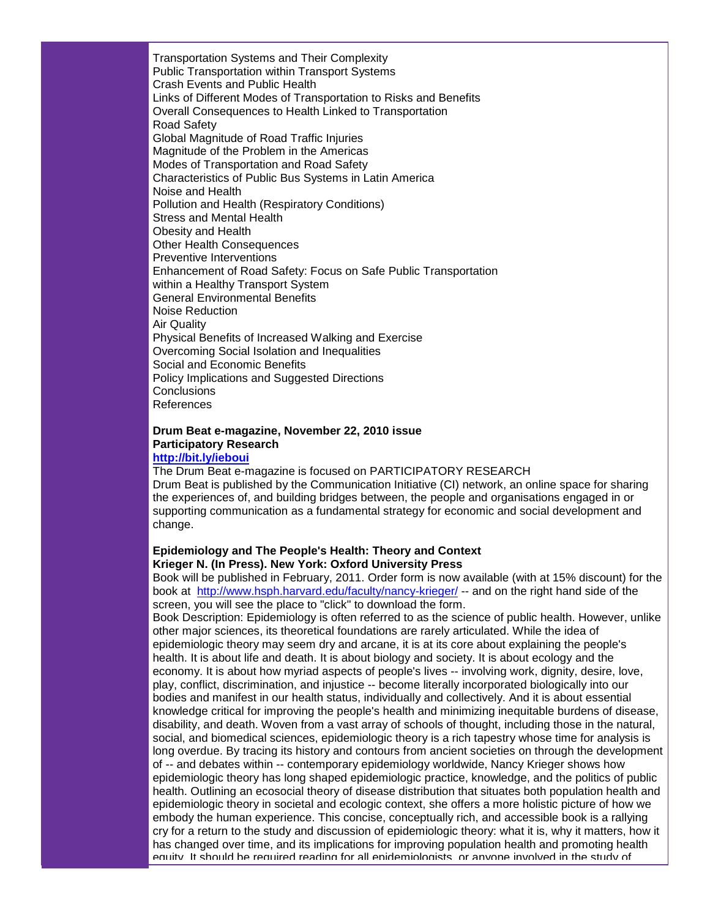Transportation Systems and Their Complexity Public Transportation within Transport Systems Crash Events and Public Health Links of Different Modes of Transportation to Risks and Benefits Overall Consequences to Health Linked to Transportation Road Safety Global Magnitude of Road Traffic Injuries Magnitude of the Problem in the Americas Modes of Transportation and Road Safety Characteristics of Public Bus Systems in Latin America Noise and Health Pollution and Health (Respiratory Conditions) Stress and Mental Health Obesity and Health Other Health Consequences Preventive Interventions Enhancement of Road Safety: Focus on Safe Public Transportation within a Healthy Transport System General Environmental Benefits Noise Reduction Air Quality Physical Benefits of Increased Walking and Exercise Overcoming Social Isolation and Inequalities Social and Economic Benefits Policy Implications and Suggested Directions **Conclusions** References

# **Drum Beat e-magazine, November 22, 2010 issue Participatory Research**

## **[http://bit.ly/ieboui](http://r20.rs6.net/tn.jsp?llr=5gytkqcab&et=1104038057191&s=1&e=0017q8tSuYwGc9t2somphDIHYhQdDAUdcFyijA3zVMu5LnDnzxAym4nCnTyXn2Skc1dbDz40oGBhA7rl6OJ-nD2TGLqIvNYe5C0Jb636DjpzXk=)**

The Drum Beat e-magazine is focused on PARTICIPATORY RESEARCH Drum Beat is published by the Communication Initiative (CI) network, an online space for sharing the experiences of, and building bridges between, the people and organisations engaged in or supporting communication as a fundamental strategy for economic and social development and change.

#### **Epidemiology and The People's Health: Theory and Context Krieger N. (In Press). New York: Oxford University Press**

Book will be published in February, 2011. Order form is now available (with at 15% discount) for the book at [http://www.hsph.harvard.edu/faculty/nancy-krieger/](http://r20.rs6.net/tn.jsp?llr=5gytkqcab&et=1104038057191&s=1&e=0017q8tSuYwGc96uHaYbCkU3v_mOJ60iqdg7fBSL7Q00FxHozf5p7b2sPSV7x5GLLbItAkr_T7LeH5ClZWZJSAUs-2jUQ3bPYf2JXvA3ad8yD7l7ox7rpl-e_E1xI6rIBH1EIRBctaXB-Vy5CtXTSogyg==) -- and on the right hand side of the screen, you will see the place to "click" to download the form.

Book Description: Epidemiology is often referred to as the science of public health. However, unlike other major sciences, its theoretical foundations are rarely articulated. While the idea of epidemiologic theory may seem dry and arcane, it is at its core about explaining the people's health. It is about life and death. It is about biology and society. It is about ecology and the economy. It is about how myriad aspects of people's lives -- involving work, dignity, desire, love, play, conflict, discrimination, and injustice -- become literally incorporated biologically into our bodies and manifest in our health status, individually and collectively. And it is about essential knowledge critical for improving the people's health and minimizing inequitable burdens of disease, disability, and death. Woven from a vast array of schools of thought, including those in the natural, social, and biomedical sciences, epidemiologic theory is a rich tapestry whose time for analysis is long overdue. By tracing its history and contours from ancient societies on through the development of -- and debates within -- contemporary epidemiology worldwide, Nancy Krieger shows how epidemiologic theory has long shaped epidemiologic practice, knowledge, and the politics of public health. Outlining an ecosocial theory of disease distribution that situates both population health and epidemiologic theory in societal and ecologic context, she offers a more holistic picture of how we embody the human experience. This concise, conceptually rich, and accessible book is a rallying cry for a return to the study and discussion of epidemiologic theory: what it is, why it matters, how it has changed over time, and its implications for improving population health and promoting health equity. It should be required reading for all epidemiologists, or anyone involved in the study of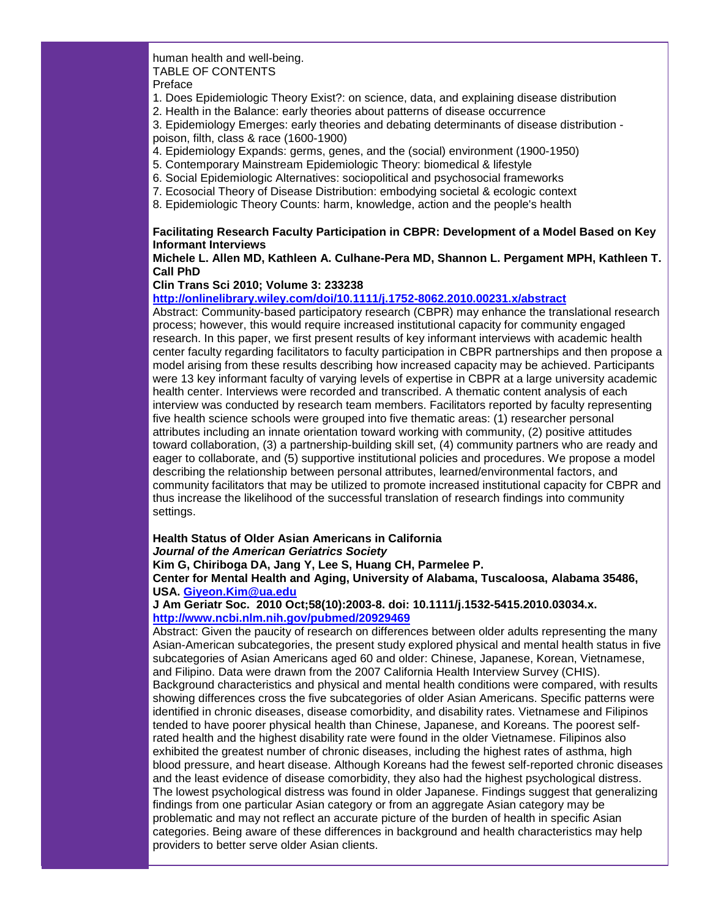human health and well-being. TABLE OF CONTENTS Preface

1. Does Epidemiologic Theory Exist?: on science, data, and explaining disease distribution

2. Health in the Balance: early theories about patterns of disease occurrence

3. Epidemiology Emerges: early theories and debating determinants of disease distribution poison, filth, class & race (1600-1900)

4. Epidemiology Expands: germs, genes, and the (social) environment (1900-1950)

- 5. Contemporary Mainstream Epidemiologic Theory: biomedical & lifestyle
- 6. Social Epidemiologic Alternatives: sociopolitical and psychosocial frameworks
- 7. Ecosocial Theory of Disease Distribution: embodying societal & ecologic context
- 8. Epidemiologic Theory Counts: harm, knowledge, action and the people's health

#### **Facilitating Research Faculty Participation in CBPR: Development of a Model Based on Key Informant Interviews**

#### **Michele L. Allen MD, Kathleen A. Culhane-Pera MD, Shannon L. Pergament MPH, Kathleen T. Call PhD**

#### **Clin Trans Sci 2010; Volume 3: 233238**

#### **[http://onlinelibrary.wiley.com/doi/10.1111/j.1752-8062.2010.00231.x/abstract](http://r20.rs6.net/tn.jsp?llr=5gytkqcab&et=1104038057191&s=1&e=0017q8tSuYwGc_8xwI8mNViTZsZnVPol4mLlApjOgyWInJPyAOeXpdltFN8xVOBYplCjCp3FH4ZTDq98SoLV6grMUDtTfLUvIJMVGFvWWCJ5j45FFfQdRgJUaOXP4HZ2G5fXBaiUJyAPyyU1OCsT-AKTMbJ_M9EzZtBlNk0CgEw7JFFJZyEYIzTLdp8Ycnxat4s)**

Abstract: Community-based participatory research (CBPR) may enhance the translational research process; however, this would require increased institutional capacity for community engaged research. In this paper, we first present results of key informant interviews with academic health center faculty regarding facilitators to faculty participation in CBPR partnerships and then propose a model arising from these results describing how increased capacity may be achieved. Participants were 13 key informant faculty of varying levels of expertise in CBPR at a large university academic health center. Interviews were recorded and transcribed. A thematic content analysis of each interview was conducted by research team members. Facilitators reported by faculty representing five health science schools were grouped into five thematic areas: (1) researcher personal attributes including an innate orientation toward working with community, (2) positive attitudes toward collaboration, (3) a partnership-building skill set, (4) community partners who are ready and eager to collaborate, and (5) supportive institutional policies and procedures. We propose a model describing the relationship between personal attributes, learned/environmental factors, and community facilitators that may be utilized to promote increased institutional capacity for CBPR and thus increase the likelihood of the successful translation of research findings into community settings.

#### **Health Status of Older Asian Americans in California** *Journal of the American Geriatrics Society*

**Kim G, Chiriboga DA, Jang Y, Lee S, Huang CH, Parmelee P.**

**Center for Mental Health and Aging, University of Alabama, Tuscaloosa, Alabama 35486, USA. [Giyeon.Kim@ua.edu](mailto:Giyeon.Kim@ua.edu)**

**J Am Geriatr Soc. 2010 Oct;58(10):2003-8. doi: 10.1111/j.1532-5415.2010.03034.x. [http://www.ncbi.nlm.nih.gov/pubmed/20929469](http://r20.rs6.net/tn.jsp?llr=5gytkqcab&et=1104038057191&s=1&e=0017q8tSuYwGc_G9wBO0S2eDjO3p7PTCI-rU6_1NwQsMzkuZAoD2PmK-lpRbMhMsJJ6qVJEj9VqQY2FVozT9zu1qgf_CuJKysQgUsMJ2oKlpiDLnkVeOBituksQdwnB5oPjHXQsBeXhQiM=)**

Abstract: Given the paucity of research on differences between older adults representing the many Asian-American subcategories, the present study explored physical and mental health status in five subcategories of Asian Americans aged 60 and older: Chinese, Japanese, Korean, Vietnamese, and Filipino. Data were drawn from the 2007 California Health Interview Survey (CHIS). Background characteristics and physical and mental health conditions were compared, with results showing differences cross the five subcategories of older Asian Americans. Specific patterns were identified in chronic diseases, disease comorbidity, and disability rates. Vietnamese and Filipinos tended to have poorer physical health than Chinese, Japanese, and Koreans. The poorest selfrated health and the highest disability rate were found in the older Vietnamese. Filipinos also exhibited the greatest number of chronic diseases, including the highest rates of asthma, high blood pressure, and heart disease. Although Koreans had the fewest self-reported chronic diseases and the least evidence of disease comorbidity, they also had the highest psychological distress. The lowest psychological distress was found in older Japanese. Findings suggest that generalizing findings from one particular Asian category or from an aggregate Asian category may be problematic and may not reflect an accurate picture of the burden of health in specific Asian categories. Being aware of these differences in background and health characteristics may help providers to better serve older Asian clients.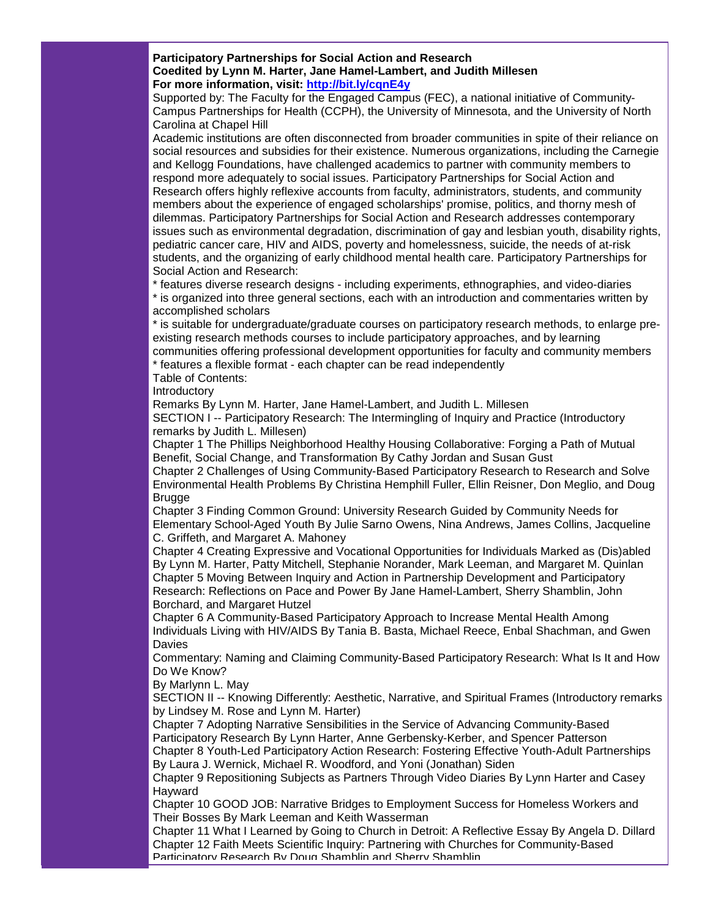**Participatory Partnerships for Social Action and Research Coedited by Lynn M. Harter, Jane Hamel-Lambert, and Judith Millesen For more information, visit: [http://bit.ly/cqnE4y](http://r20.rs6.net/tn.jsp?llr=5gytkqcab&et=1104038057191&s=1&e=0017q8tSuYwGc_BLlCw1LwovXBYsQ5koAOZVemzbz_ZdToECGr5YkQaToyRKvvCR2Mpad3HzZBh6_KmR3fjXV4WNlz-6DBubfmlBVjQaPckwbk=)**

Supported by: The Faculty for the Engaged Campus (FEC), a national initiative of Community-Campus Partnerships for Health (CCPH), the University of Minnesota, and the University of North Carolina at Chapel Hill

Academic institutions are often disconnected from broader communities in spite of their reliance on social resources and subsidies for their existence. Numerous organizations, including the Carnegie and Kellogg Foundations, have challenged academics to partner with community members to respond more adequately to social issues. Participatory Partnerships for Social Action and Research offers highly reflexive accounts from faculty, administrators, students, and community members about the experience of engaged scholarships' promise, politics, and thorny mesh of dilemmas. Participatory Partnerships for Social Action and Research addresses contemporary issues such as environmental degradation, discrimination of gay and lesbian youth, disability rights, pediatric cancer care, HIV and AIDS, poverty and homelessness, suicide, the needs of at-risk students, and the organizing of early childhood mental health care. Participatory Partnerships for Social Action and Research:

\* features diverse research designs - including experiments, ethnographies, and video-diaries \* is organized into three general sections, each with an introduction and commentaries written by accomplished scholars

\* is suitable for undergraduate/graduate courses on participatory research methods, to enlarge preexisting research methods courses to include participatory approaches, and by learning communities offering professional development opportunities for faculty and community members

\* features a flexible format - each chapter can be read independently

Table of Contents:

**Introductory** 

Remarks By Lynn M. Harter, Jane Hamel-Lambert, and Judith L. Millesen

SECTION I -- Participatory Research: The Intermingling of Inquiry and Practice (Introductory remarks by Judith L. Millesen)

Chapter 1 The Phillips Neighborhood Healthy Housing Collaborative: Forging a Path of Mutual Benefit, Social Change, and Transformation By Cathy Jordan and Susan Gust

Chapter 2 Challenges of Using Community-Based Participatory Research to Research and Solve Environmental Health Problems By Christina Hemphill Fuller, Ellin Reisner, Don Meglio, and Doug **Brugge** 

Chapter 3 Finding Common Ground: University Research Guided by Community Needs for Elementary School-Aged Youth By Julie Sarno Owens, Nina Andrews, James Collins, Jacqueline C. Griffeth, and Margaret A. Mahoney

Chapter 4 Creating Expressive and Vocational Opportunities for Individuals Marked as (Dis)abled By Lynn M. Harter, Patty Mitchell, Stephanie Norander, Mark Leeman, and Margaret M. Quinlan Chapter 5 Moving Between Inquiry and Action in Partnership Development and Participatory Research: Reflections on Pace and Power By Jane Hamel-Lambert, Sherry Shamblin, John Borchard, and Margaret Hutzel

Chapter 6 A Community-Based Participatory Approach to Increase Mental Health Among Individuals Living with HIV/AIDS By Tania B. Basta, Michael Reece, Enbal Shachman, and Gwen **Davies** 

Commentary: Naming and Claiming Community-Based Participatory Research: What Is It and How Do We Know?

By Marlynn L. May

SECTION II -- Knowing Differently: Aesthetic, Narrative, and Spiritual Frames (Introductory remarks by Lindsey M. Rose and Lynn M. Harter)

Chapter 7 Adopting Narrative Sensibilities in the Service of Advancing Community-Based Participatory Research By Lynn Harter, Anne Gerbensky-Kerber, and Spencer Patterson Chapter 8 Youth-Led Participatory Action Research: Fostering Effective Youth-Adult Partnerships By Laura J. Wernick, Michael R. Woodford, and Yoni (Jonathan) Siden

Chapter 9 Repositioning Subjects as Partners Through Video Diaries By Lynn Harter and Casey Hayward

Chapter 10 GOOD JOB: Narrative Bridges to Employment Success for Homeless Workers and Their Bosses By Mark Leeman and Keith Wasserman

Chapter 11 What I Learned by Going to Church in Detroit: A Reflective Essay By Angela D. Dillard Chapter 12 Faith Meets Scientific Inquiry: Partnering with Churches for Community-Based Participatory Research By Doug Shamblin and Sherry Shamblin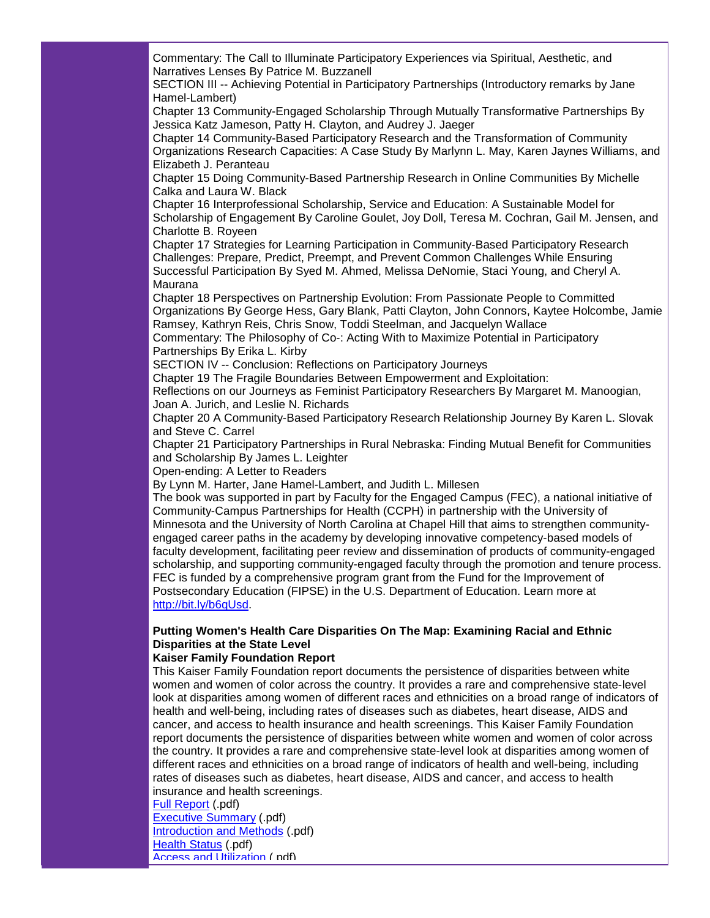Commentary: The Call to Illuminate Participatory Experiences via Spiritual, Aesthetic, and Narratives Lenses By Patrice M. Buzzanell

SECTION III -- Achieving Potential in Participatory Partnerships (Introductory remarks by Jane Hamel-Lambert)

Chapter 13 Community-Engaged Scholarship Through Mutually Transformative Partnerships By Jessica Katz Jameson, Patty H. Clayton, and Audrey J. Jaeger

Chapter 14 Community-Based Participatory Research and the Transformation of Community Organizations Research Capacities: A Case Study By Marlynn L. May, Karen Jaynes Williams, and Elizabeth J. Peranteau

Chapter 15 Doing Community-Based Partnership Research in Online Communities By Michelle Calka and Laura W. Black

Chapter 16 Interprofessional Scholarship, Service and Education: A Sustainable Model for Scholarship of Engagement By Caroline Goulet, Joy Doll, Teresa M. Cochran, Gail M. Jensen, and Charlotte B. Royeen

Chapter 17 Strategies for Learning Participation in Community-Based Participatory Research Challenges: Prepare, Predict, Preempt, and Prevent Common Challenges While Ensuring Successful Participation By Syed M. Ahmed, Melissa DeNomie, Staci Young, and Cheryl A. Maurana

Chapter 18 Perspectives on Partnership Evolution: From Passionate People to Committed Organizations By George Hess, Gary Blank, Patti Clayton, John Connors, Kaytee Holcombe, Jamie Ramsey, Kathryn Reis, Chris Snow, Toddi Steelman, and Jacquelyn Wallace

Commentary: The Philosophy of Co-: Acting With to Maximize Potential in Participatory Partnerships By Erika L. Kirby

SECTION IV -- Conclusion: Reflections on Participatory Journeys

Chapter 19 The Fragile Boundaries Between Empowerment and Exploitation:

Reflections on our Journeys as Feminist Participatory Researchers By Margaret M. Manoogian, Joan A. Jurich, and Leslie N. Richards

Chapter 20 A Community-Based Participatory Research Relationship Journey By Karen L. Slovak and Steve C. Carrel

Chapter 21 Participatory Partnerships in Rural Nebraska: Finding Mutual Benefit for Communities and Scholarship By James L. Leighter

Open-ending: A Letter to Readers

By Lynn M. Harter, Jane Hamel-Lambert, and Judith L. Millesen

The book was supported in part by Faculty for the Engaged Campus (FEC), a national initiative of Community-Campus Partnerships for Health (CCPH) in partnership with the University of Minnesota and the University of North Carolina at Chapel Hill that aims to strengthen communityengaged career paths in the academy by developing innovative competency-based models of faculty development, facilitating peer review and dissemination of products of community-engaged scholarship, and supporting community-engaged faculty through the promotion and tenure process. FEC is funded by a comprehensive program grant from the Fund for the Improvement of Postsecondary Education (FIPSE) in the U.S. Department of Education. Learn more at [http://bit.ly/b6qUsd.](http://r20.rs6.net/tn.jsp?llr=5gytkqcab&et=1104038057191&s=1&e=0017q8tSuYwGc8QAmAJkdaOWOLgyHQq0KcL9Er1iQfdiiPG_YrwyvfEq7ccL_BbZhTzRllDZ8ourq6rtCtUeo_bHcMaFDtjNmNpkvLl-yKo5IA=)

## **Putting Women's Health Care Disparities On The Map: Examining Racial and Ethnic Disparities at the State Level**

#### **Kaiser Family Foundation Report**

This Kaiser Family Foundation report documents the persistence of disparities between white women and women of color across the country. It provides a rare and comprehensive state-level look at disparities among women of different races and ethnicities on a broad range of indicators of health and well-being, including rates of diseases such as diabetes, heart disease, AIDS and cancer, and access to health insurance and health screenings. This Kaiser Family Foundation report documents the persistence of disparities between white women and women of color across the country. It provides a rare and comprehensive state-level look at disparities among women of different races and ethnicities on a broad range of indicators of health and well-being, including rates of diseases such as diabetes, heart disease, AIDS and cancer, and access to health insurance and health screenings.

[Full Report](http://r20.rs6.net/tn.jsp?llr=5gytkqcab&et=1104038057191&s=1&e=0017q8tSuYwGc9YwO_4Z4nUwUsp58h8_nZIXBPy3bnlOPkoRi6wZ-o9hb2pLwuRC-W9gZuON4ePCKaXu5y2_wsGmNL5hSIcw7qtDegvU67szCivTbIEjCtvidY2BYwWgwLsq_FEHgsAo57fg_JFJzXRAg==) (.pdf) [Executive Summary](http://r20.rs6.net/tn.jsp?llr=5gytkqcab&et=1104038057191&s=1&e=0017q8tSuYwGc_otgy--nkKv3kcsLcrzk6L1ZKIo7ddjdD1ESJAhpIfDzLvTQ95Y4aMBIuol1RP-Sbs73afQISaRrAaigiXGSdF9_EzfmDLps-2B4By2HEF6Dkb0DR55vKyis9k6onztQbxDsrCkw9dQA==) (.pdf) [Introduction and Methods](http://r20.rs6.net/tn.jsp?llr=5gytkqcab&et=1104038057191&s=1&e=0017q8tSuYwGc_TGkvJJPUZOyXydvPcOYKos-1Aa6cXVMSmNgzufBLV16zeR79IX67DU5kC-Wma-Qnh1NNJ3zxFes8o8SM3naMeJaDEzvSb8DTnucsrYqzraJsILyyGE5q7e2oPMAMM49zD74au81kUIUzmFoECebEIRRvxY2T81PE=) (.pdf) [Health Status](http://r20.rs6.net/tn.jsp?llr=5gytkqcab&et=1104038057191&s=1&e=0017q8tSuYwGc9VSXV6KzJGDtNHfj5iD-IKJMbvkSaSyWvDQVESXu-iSUbEO-RObSuJKd1MRewlf3T3svhGF8Aap-ymrBy3NbZyRVA96MgCeC9dBlazeDRutLNOyHGY5pY6e-Xht7loOV1M4S6P-kZL4ZSVBHY_PMEY1m3InED-fBU=) (.pdf) [Access and Utilization](http://r20.rs6.net/tn.jsp?llr=5gytkqcab&et=1104038057191&s=1&e=0017q8tSuYwGc8GDWz4tV9oWqiRGdDkLaWyB2NYruth_G25zmkOd1KO_6vs7TJ21kaJm5__F66TZiOO4WYAGP4P-rBMblrcCWgJ449LXbIcdWLEJp19pBujAZyzH0kP0y832gaqFZoWoT3Pecv9KTJ-B2xy2HMgpJhPpjeOMqJbbpIk3xIQm2XIQQ==) (.pdf)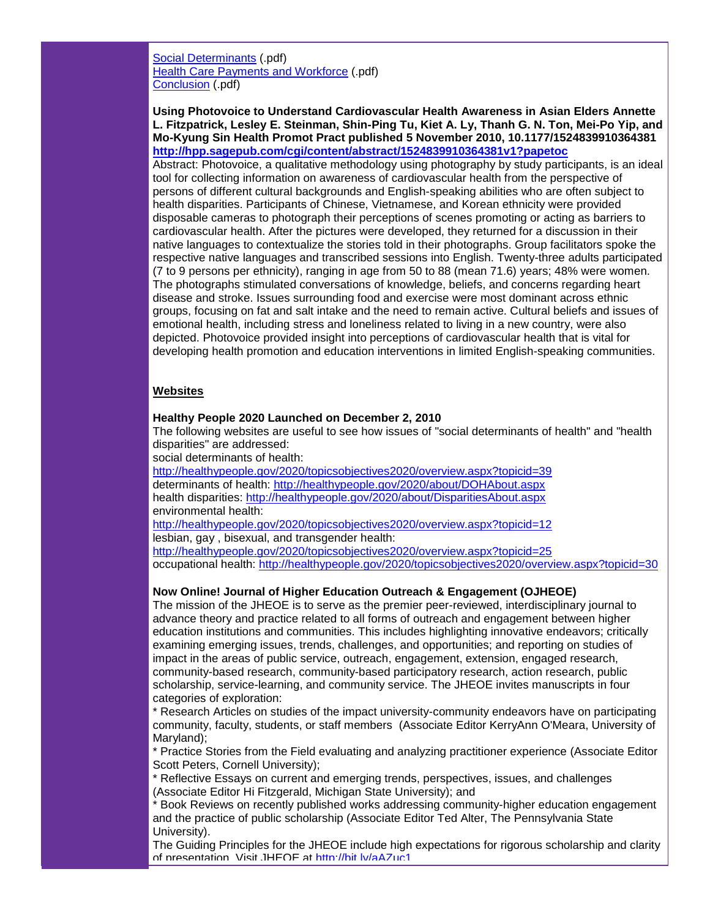[Social Determinants](http://r20.rs6.net/tn.jsp?llr=5gytkqcab&et=1104038057191&s=1&e=0017q8tSuYwGc871KIraqNNeaQPGsjZqojqbgDzKF9PbSt2_vFC6fbyvP3jYwDy_-pdjp2HOausjQZOhvS7iUnVMJyPpSiQvH2biVvUpqQLpqdt0hE8Pq3fK0VH_EtOcoyQZzZmq-nL2L3qKpRN3oxAj9c_ShRfNBvpbP79GC4rqto=) (.pdf) [Health Care Payments and Workforce](http://r20.rs6.net/tn.jsp?llr=5gytkqcab&et=1104038057191&s=1&e=0017q8tSuYwGc89vZG-qIoTV8TqogXdPE4_ezFhsLT6xccNmY6f5zs9RzUUhmYxQM9lgZsvbnJT0jpluJkGPjKD220RULvJ3Xjvg0-D5pG9STUbh9qXtTunFrQ74_bSYx0drPmIJfeWitSOCS25PyCfyRTBJ_7fXfEWHQkJyi1uEVb1B1u1TZBKLw==) (.pdf) [Conclusion](http://r20.rs6.net/tn.jsp?llr=5gytkqcab&et=1104038057191&s=1&e=0017q8tSuYwGc-YerNgo6lAcSe90U_EEZKPp-iFPhYF0gpXQy0-hCUFYwt8f543ePLVFTFSLbwuSkcir_UvVqE4Asava4d39tRDyZX1q4-dOea3l92bOFC02x3GQQ2l7Zim6fL1YrtBna1nJyEWYp4zl2-BM31JqwcH) (.pdf)

**Using Photovoice to Understand Cardiovascular Health Awareness in Asian Elders Annette L. Fitzpatrick, Lesley E. Steinman, Shin-Ping Tu, Kiet A. Ly, Thanh G. N. Ton, Mei-Po Yip, and Mo-Kyung Sin Health Promot Pract published 5 November 2010, 10.1177/1524839910364381 [http://hpp.sagepub.com/cgi/content/abstract/1524839910364381v1?papetoc](http://r20.rs6.net/tn.jsp?llr=5gytkqcab&et=1104038057191&s=1&e=0017q8tSuYwGc_wjNFBGa7TWAz9aH0FPnyze4lg43ESdXGUV-8KuN7TYe461qWecJ3bNS4KNtr4cV39Dy3qzFPPuJ-1BJ0vVgWFx_wyQbYiL1v0sQ_AwUucm5cH485wh0U0X9fvV-_wq9MuL_z2X583d1uwrmXU6MWauIRadsjOcF5vivfVfwnVdQ==)**

Abstract: Photovoice, a qualitative methodology using photography by study participants, is an ideal tool for collecting information on awareness of cardiovascular health from the perspective of persons of different cultural backgrounds and English-speaking abilities who are often subject to health disparities. Participants of Chinese, Vietnamese, and Korean ethnicity were provided disposable cameras to photograph their perceptions of scenes promoting or acting as barriers to cardiovascular health. After the pictures were developed, they returned for a discussion in their native languages to contextualize the stories told in their photographs. Group facilitators spoke the respective native languages and transcribed sessions into English. Twenty-three adults participated (7 to 9 persons per ethnicity), ranging in age from 50 to 88 (mean 71.6) years; 48% were women. The photographs stimulated conversations of knowledge, beliefs, and concerns regarding heart disease and stroke. Issues surrounding food and exercise were most dominant across ethnic groups, focusing on fat and salt intake and the need to remain active. Cultural beliefs and issues of emotional health, including stress and loneliness related to living in a new country, were also depicted. Photovoice provided insight into perceptions of cardiovascular health that is vital for developing health promotion and education interventions in limited English-speaking communities.

#### **Websites**

#### **Healthy People 2020 Launched on December 2, 2010**

The following websites are useful to see how issues of "social determinants of health" and "health disparities" are addressed:

social determinants of health:

[http://healthypeople.gov/2020/topicsobjectives2020/overview.aspx?topicid=39](http://r20.rs6.net/tn.jsp?llr=5gytkqcab&et=1104038057191&s=1&e=0017q8tSuYwGc-ePmhR-6lFCplrPGENRcX7WHetHQ_7v-9bLIQM3k4ZCKQnEdQ6C1p6Mv8h-XaVv10WGRXvqY0xF7BVUi1ENlnykncJ3zMNPfQo24Evi2xsb5on4mkF-FKJ4fJQn1-A4-WVJYg7VcT6BlIWrvwxx9i3_D8w3c7PRvrH-oXzKz5C1NyQKvGW3rJa) determinants of health: [http://healthypeople.gov/2020/about/DOHAbout.aspx](http://r20.rs6.net/tn.jsp?llr=5gytkqcab&et=1104038057191&s=1&e=0017q8tSuYwGc_a062GnXHAGv8dIqrjgfV96DSVWH8-ngUy9R5k5Jzx3v2pS5A5CXHPS4F6lKmI10xyKwTQLX9Vv-bckpPHu6t1hEOrWGIdKgIYXrUK5LXK176nSiTU-YWbDvaC_Jacm0V1GsxhW9BtWw==) health disparities: [http://healthypeople.gov/2020/about/DisparitiesAbout.aspx](http://r20.rs6.net/tn.jsp?llr=5gytkqcab&et=1104038057191&s=1&e=0017q8tSuYwGc_6t6BTMLd9dRpZGDjJeY8v38Dkq4-JI5YlMNe83u86NRA8BzegHz6DbOgo9olcOQ2g7ULwvd7QIzKDp-A-_0CanZNjysYvr8FchLGN9cFP3alEG4-z7FXWSsgUXONHCVOVjwmNnM3PkH9B20xDPo5Q) environmental health:

[http://healthypeople.gov/2020/topicsobjectives2020/overview.aspx?topicid=12](http://r20.rs6.net/tn.jsp?llr=5gytkqcab&et=1104038057191&s=1&e=0017q8tSuYwGc9vqmz7DwKx8uoTmMM0HMs3VODeCNuKxgy8zyp7BSiWmx32jFgacR4T5OUK4LoAJ0Gs4xtquw-0497cVslEp6rFZoOb2sgZA2aPNmGz2uXCeMyGAu-ebiZkJxf4OEG66NphBpj14NjxppxmuFHXWDasoY4gMZ1m9hzMSJ4hGsVQeaoPnyBlb9P_) lesbian, gay , bisexual, and transgender health:

[http://healthypeople.gov/2020/topicsobjectives2020/overview.aspx?topicid=25](http://r20.rs6.net/tn.jsp?llr=5gytkqcab&et=1104038057191&s=1&e=0017q8tSuYwGc-izVP0TSAI4hrCWoyfKjZYFlRqGS4RWIEGPhM-xnxzzGzRZ7EtX4PivXQvzWbELLCYkD3B4qZCfExsbhvQKYOfxMO9faucx50_l_pFlXD1DX-EitBmvVeo3iaA8JEabI7BocRbVDsonLDbWaMTg8hCo11FV_MdsZRdYkKtvuc4_UNvRhg86BrG) occupational health: [http://healthypeople.gov/2020/topicsobjectives2020/overview.aspx?topicid=30](http://r20.rs6.net/tn.jsp?llr=5gytkqcab&et=1104038057191&s=1&e=0017q8tSuYwGc8ITM27fzyKnVyfrazmQsXn__NmIWeHVStHOztWLbrgJzKVcdrvL1ULTe0SVvg8CdFglpPa_oX7bx_yaCrr1lVolkHLtYMTbq3lNOkMAslA9igHR6R-Vulztz4FQgiYWsjqFwRRhVO3RHbnj0uYJWkLtIABZ5u-0FCrZ_Oml44ysO6m4DWh7Bqq)

## **Now Online! Journal of Higher Education Outreach & Engagement (OJHEOE)**

The mission of the JHEOE is to serve as the premier peer-reviewed, interdisciplinary journal to advance theory and practice related to all forms of outreach and engagement between higher education institutions and communities. This includes highlighting innovative endeavors; critically examining emerging issues, trends, challenges, and opportunities; and reporting on studies of impact in the areas of public service, outreach, engagement, extension, engaged research, community-based research, community-based participatory research, action research, public scholarship, service-learning, and community service. The JHEOE invites manuscripts in four categories of exploration:

\* Research Articles on studies of the impact university-community endeavors have on participating community, faculty, students, or staff members (Associate Editor KerryAnn O'Meara, University of Maryland);

\* Practice Stories from the Field evaluating and analyzing practitioner experience (Associate Editor Scott Peters, Cornell University);

\* Reflective Essays on current and emerging trends, perspectives, issues, and challenges (Associate Editor Hi Fitzgerald, Michigan State University); and

\* Book Reviews on recently published works addressing community-higher education engagement and the practice of public scholarship (Associate Editor Ted Alter, The Pennsylvania State University).

The Guiding Principles for the JHEOE include high expectations for rigorous scholarship and clarity of presentation. Visit JHEOE at [http://bit.ly/aAZuc1](http://r20.rs6.net/tn.jsp?llr=5gytkqcab&et=1104038057191&s=1&e=0017q8tSuYwGc-Q4E8R0xk_vhZl_fN_mqTiCzCUcbK8nADsgGLDenz_dTbCYzZ1kiiHH-6raBLEPtXeDlAn3TYhT_EMBqucMGW2taULMloxqWU=)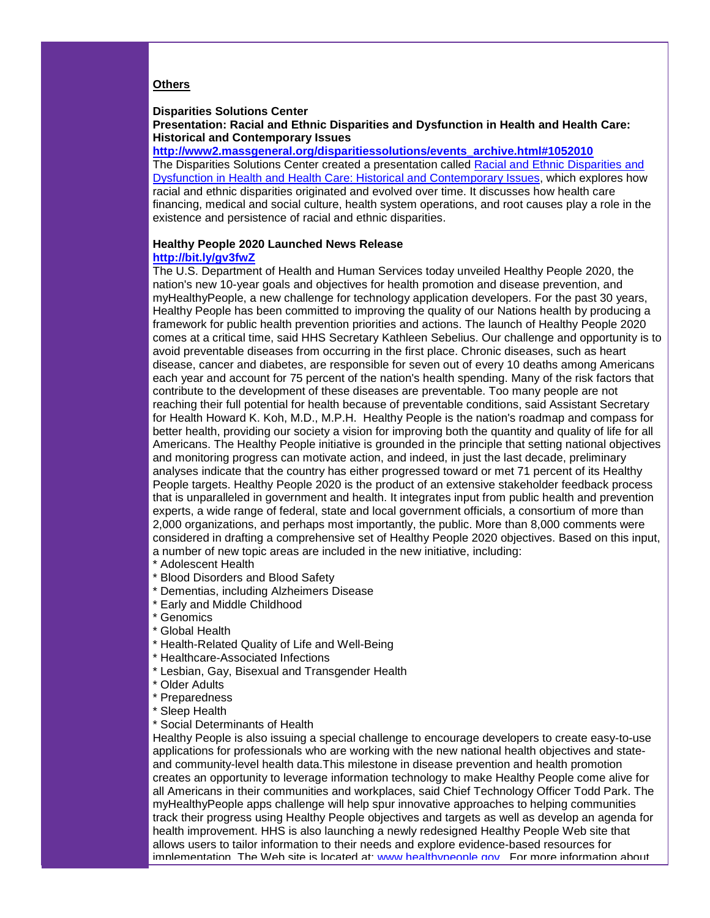#### **Others**

#### **Disparities Solutions Center**

#### **Presentation: Racial and Ethnic Disparities and Dysfunction in Health and Health Care: Historical and Contemporary Issues**

**[http://www2.massgeneral.org/disparitiessolutions/events\\_archive.html#1052010](http://r20.rs6.net/tn.jsp?llr=5gytkqcab&et=1104038057191&s=1&e=0017q8tSuYwGc_ieujqixnAOiKBsxusL0Ebxju7Gz04GUlM2aUnAXD8i2mcYElD7RDQphmACNX7MQ9XFKk4pDuV6gb2SYapM-RJUhT8vsVBoR51EsmLlwCeg8EiFahTNDp1qbtuwIwXvLgjATfuBz8chqRVaxcMjX3m9q_5W5GVQq6jKMw_OdxW4A==)** The Disparities Solutions Center created a presentation called [Racial and Ethnic Disparities and](http://r20.rs6.net/tn.jsp?llr=5gytkqcab&et=1104038057191&s=1&e=0017q8tSuYwGc_ieujqixnAOiKBsxusL0Ebxju7Gz04GUlM2aUnAXD8i2mcYElD7RDQphmACNX7MQ9XFKk4pDuV6gb2SYapM-RJUhT8vsVBoR51EsmLlwCeg8EiFahTNDp1qbtuwIwXvLgjATfuBz8chqRVaxcMjX3m9q_5W5GVQq6jKMw_OdxW4A==)  [Dysfunction in Health and Health Care: Historical and Contemporary Issues,](http://r20.rs6.net/tn.jsp?llr=5gytkqcab&et=1104038057191&s=1&e=0017q8tSuYwGc_ieujqixnAOiKBsxusL0Ebxju7Gz04GUlM2aUnAXD8i2mcYElD7RDQphmACNX7MQ9XFKk4pDuV6gb2SYapM-RJUhT8vsVBoR51EsmLlwCeg8EiFahTNDp1qbtuwIwXvLgjATfuBz8chqRVaxcMjX3m9q_5W5GVQq6jKMw_OdxW4A==) which explores how racial and ethnic disparities originated and evolved over time. It discusses how health care financing, medical and social culture, health system operations, and root causes play a role in the existence and persistence of racial and ethnic disparities.

#### **Healthy People 2020 Launched News Release [http://bit.ly/gv3fwZ](http://r20.rs6.net/tn.jsp?llr=5gytkqcab&et=1104038057191&s=1&e=0017q8tSuYwGc-pqbHHsi82dkF2nxG6xc4QG7vbGCIIGGoGfjL6ssXtP-GaJMQu55yFKMYt5oJezAHOa0WyTPiU6Rg5gwwKY-hI4betcVqMP6I=)**

The U.S. Department of Health and Human Services today unveiled Healthy People 2020, the nation's new 10-year goals and objectives for health promotion and disease prevention, and myHealthyPeople, a new challenge for technology application developers. For the past 30 years, Healthy People has been committed to improving the quality of our Nations health by producing a framework for public health prevention priorities and actions. The launch of Healthy People 2020 comes at a critical time, said HHS Secretary Kathleen Sebelius. Our challenge and opportunity is to avoid preventable diseases from occurring in the first place. Chronic diseases, such as heart disease, cancer and diabetes, are responsible for seven out of every 10 deaths among Americans each year and account for 75 percent of the nation's health spending. Many of the risk factors that contribute to the development of these diseases are preventable. Too many people are not reaching their full potential for health because of preventable conditions, said Assistant Secretary for Health Howard K. Koh, M.D., M.P.H. Healthy People is the nation's roadmap and compass for better health, providing our society a vision for improving both the quantity and quality of life for all Americans. The Healthy People initiative is grounded in the principle that setting national objectives and monitoring progress can motivate action, and indeed, in just the last decade, preliminary analyses indicate that the country has either progressed toward or met 71 percent of its Healthy People targets. Healthy People 2020 is the product of an extensive stakeholder feedback process that is unparalleled in government and health. It integrates input from public health and prevention experts, a wide range of federal, state and local government officials, a consortium of more than 2,000 organizations, and perhaps most importantly, the public. More than 8,000 comments were considered in drafting a comprehensive set of Healthy People 2020 objectives. Based on this input, a number of new topic areas are included in the new initiative, including:

- \* Adolescent Health
- \* Blood Disorders and Blood Safety
- \* Dementias, including Alzheimers Disease
- \* Early and Middle Childhood
- \* Genomics
- \* Global Health
- \* Health-Related Quality of Life and Well-Being
- \* Healthcare-Associated Infections
- \* Lesbian, Gay, Bisexual and Transgender Health
- \* Older Adults
- \* Preparedness
- \* Sleep Health
- \* Social Determinants of Health

Healthy People is also issuing a special challenge to encourage developers to create easy-to-use applications for professionals who are working with the new national health objectives and stateand community-level health data.This milestone in disease prevention and health promotion creates an opportunity to leverage information technology to make Healthy People come alive for all Americans in their communities and workplaces, said Chief Technology Officer Todd Park. The myHealthyPeople apps challenge will help spur innovative approaches to helping communities track their progress using Healthy People objectives and targets as well as develop an agenda for health improvement. HHS is also launching a newly redesigned Healthy People Web site that allows users to tailor information to their needs and explore evidence-based resources for implementation. The Web site is located at: [www.healthypeople.gov.](http://r20.rs6.net/tn.jsp?llr=5gytkqcab&et=1104038057191&s=1&e=0017q8tSuYwGc_7VT_8H1ZGsEsIOJPieFyBXR6sgb-fbL8H4nSv_d4HnDyevASsFsHJmrBjqbgswQvQB2pcbJc9LSASqQiKcCNGwxxkSi0taHwiM9_1H99wdg==) For more information about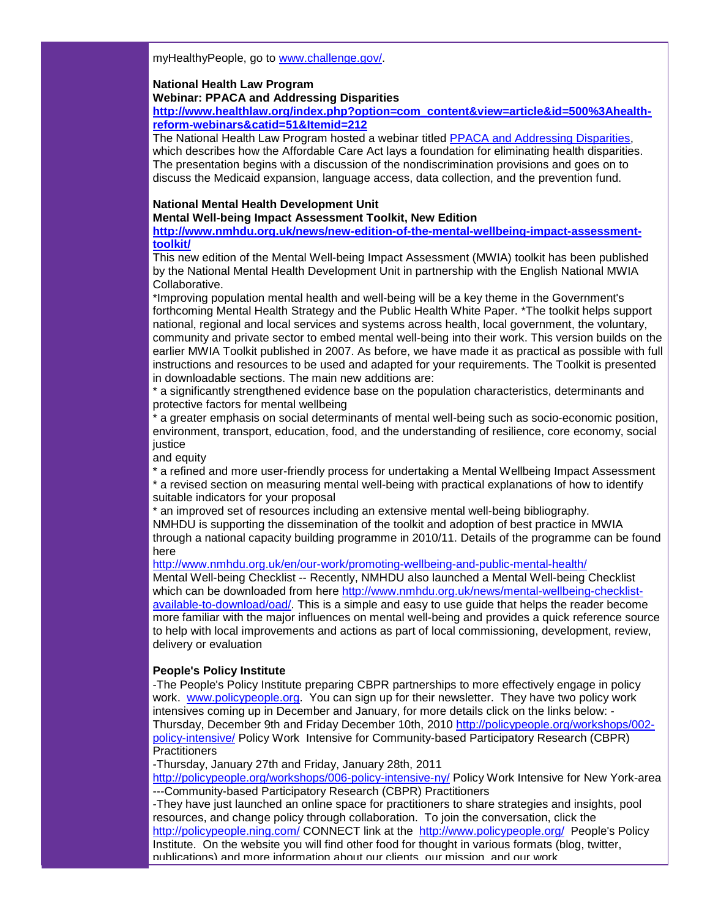myHealthyPeople, go to [www.challenge.gov/.](http://r20.rs6.net/tn.jsp?llr=5gytkqcab&et=1104038057191&s=1&e=0017q8tSuYwGc_N_7oY8x0L1djiywe9maCvU3LXYlGEY-VGQUCL1vkkyqYjIRs9cH-27zZasL17QClaXFcLFusd9E7151_VZier_i-ohKFCnICYndzH0kVPMw==)

#### **National Health Law Program**

#### **Webinar: PPACA and Addressing Disparities**

**[http://www.healthlaw.org/index.php?option=com\\_content&view=article&id=500%3Ahealth](http://r20.rs6.net/tn.jsp?llr=5gytkqcab&et=1104038057191&s=1&e=0017q8tSuYwGc-wQGD0Izmgk-sp_STpKtJ5rcsMmSAktYqpgzuyOsVoHVH0REj3L_zA8t7mwiVE2a-E1gP4U9GInGgeSPiyndfyjQ3jOvMlfAKQXt5LJW1BmWOPKq-erdHnY-r9Knt_rnfPjI-Xxi_5APNiThSsxoxI8yFX6WpwpRmlp87pGzh56fCopCeFiaQt_YdZLJj6VTRub681NNX0Ik21ze-_ZcNPDQXqUrWdDxH3l0NcOsS3-mFJ-GYwGfhjgPqW9xf00JU=)[reform-webinars&catid=51&Itemid=212](http://r20.rs6.net/tn.jsp?llr=5gytkqcab&et=1104038057191&s=1&e=0017q8tSuYwGc-wQGD0Izmgk-sp_STpKtJ5rcsMmSAktYqpgzuyOsVoHVH0REj3L_zA8t7mwiVE2a-E1gP4U9GInGgeSPiyndfyjQ3jOvMlfAKQXt5LJW1BmWOPKq-erdHnY-r9Knt_rnfPjI-Xxi_5APNiThSsxoxI8yFX6WpwpRmlp87pGzh56fCopCeFiaQt_YdZLJj6VTRub681NNX0Ik21ze-_ZcNPDQXqUrWdDxH3l0NcOsS3-mFJ-GYwGfhjgPqW9xf00JU=)**

The National Health Law Program hosted a webinar titled [PPACA and Addressing Disparities,](http://r20.rs6.net/tn.jsp?llr=5gytkqcab&et=1104038057191&s=1&e=0017q8tSuYwGc-wQGD0Izmgk-sp_STpKtJ5rcsMmSAktYqpgzuyOsVoHVH0REj3L_zA8t7mwiVE2a-E1gP4U9GInGgeSPiyndfyjQ3jOvMlfAKQXt5LJW1BmWOPKq-erdHnY-r9Knt_rnfPjI-Xxi_5APNiThSsxoxI8yFX6WpwpRmlp87pGzh56fCopCeFiaQt_YdZLJj6VTRub681NNX0Ik21ze-_ZcNPDQXqUrWdDxH3l0NcOsS3-mFJ-GYwGfhjgPqW9xf00JU=) which describes how the Affordable Care Act lays a foundation for eliminating health disparities. The presentation begins with a discussion of the nondiscrimination provisions and goes on to discuss the Medicaid expansion, language access, data collection, and the prevention fund.

#### **National Mental Health Development Unit**

**Mental Well-being Impact Assessment Toolkit, New Edition**

**[http://www.nmhdu.org.uk/news/new-edition-of-the-mental-wellbeing-impact-assessment](http://r20.rs6.net/tn.jsp?llr=5gytkqcab&et=1104038057191&s=1&e=0017q8tSuYwGc9qlfuxqGDrtWjSM2zRSwN0mXk_mvoyo1lg192UvUg9EZ1_URI2EJQhNUcTsI_iUEmLBaZgp2qOAJb0va6DQ8Jfyy4cqyUXPren-t7HoERfpEVz20J8OVHDlQwv4K0Kk3hMvc3o0rWrOjblImAdGMhoLMvqLmuvwNDOFqKZm8RyeycZeOkM5Ga3WlkgpYrpVYc=)[toolkit/](http://r20.rs6.net/tn.jsp?llr=5gytkqcab&et=1104038057191&s=1&e=0017q8tSuYwGc9qlfuxqGDrtWjSM2zRSwN0mXk_mvoyo1lg192UvUg9EZ1_URI2EJQhNUcTsI_iUEmLBaZgp2qOAJb0va6DQ8Jfyy4cqyUXPren-t7HoERfpEVz20J8OVHDlQwv4K0Kk3hMvc3o0rWrOjblImAdGMhoLMvqLmuvwNDOFqKZm8RyeycZeOkM5Ga3WlkgpYrpVYc=)**

This new edition of the Mental Well-being Impact Assessment (MWIA) toolkit has been published by the National Mental Health Development Unit in partnership with the English National MWIA Collaborative.

\*Improving population mental health and well-being will be a key theme in the Government's forthcoming Mental Health Strategy and the Public Health White Paper. \*The toolkit helps support national, regional and local services and systems across health, local government, the voluntary, community and private sector to embed mental well-being into their work. This version builds on the earlier MWIA Toolkit published in 2007. As before, we have made it as practical as possible with full instructions and resources to be used and adapted for your requirements. The Toolkit is presented in downloadable sections. The main new additions are:

\* a significantly strengthened evidence base on the population characteristics, determinants and protective factors for mental wellbeing

\* a greater emphasis on social determinants of mental well-being such as socio-economic position, environment, transport, education, food, and the understanding of resilience, core economy, social iustice

and equity

\* a refined and more user-friendly process for undertaking a Mental Wellbeing Impact Assessment \* a revised section on measuring mental well-being with practical explanations of how to identify suitable indicators for your proposal

\* an improved set of resources including an extensive mental well-being bibliography. NMHDU is supporting the dissemination of the toolkit and adoption of best practice in MWIA through a national capacity building programme in 2010/11. Details of the programme can be found here

[http://www.nmhdu.org.uk/en/our-work/promoting-wellbeing-and-public-mental-health/](http://r20.rs6.net/tn.jsp?llr=5gytkqcab&et=1104038057191&s=1&e=0017q8tSuYwGc8v1aQheiUyPbFcUulBOQtBa9eaUv1YpmG_-LvZWQcDDWkDLg-DpuVjaH-I8H3kwERtCc8D-pxLGOzFuk5SW6qqH8oMbTLYi5DN9fFBTz1W301-tDcmUxRndpSo5GnUnDNGk5qCtW9-_cdMxQb6LozjiMaOHKQ9rDl14Qf1Iulw_C5rgotIf_pf) Mental Well-being Checklist -- Recently, NMHDU also launched a Mental Well-being Checklist which can be downloaded from here [http://www.nmhdu.org.uk/news/mental-wellbeing-checklist](http://r20.rs6.net/tn.jsp?llr=5gytkqcab&et=1104038057191&s=1&e=0017q8tSuYwGc-3WBDMGuZU_gNstAqMBG4mSnDLYPPuUKatgqZbYUuXJmi1w4D6lV_0hvmXBhl_jCyiqyPduWMOmiit4r0ebYMhIowhq7f_sxLVyfuZiIu6q7eLt4IKc5BPZZU7vXjoajdKWVDh8kLdHOnhaI71zCJUb11sGcj0J0SHuOytao6mcr8vqRS_pHSo)[available-to-download/oad/.](http://r20.rs6.net/tn.jsp?llr=5gytkqcab&et=1104038057191&s=1&e=0017q8tSuYwGc-3WBDMGuZU_gNstAqMBG4mSnDLYPPuUKatgqZbYUuXJmi1w4D6lV_0hvmXBhl_jCyiqyPduWMOmiit4r0ebYMhIowhq7f_sxLVyfuZiIu6q7eLt4IKc5BPZZU7vXjoajdKWVDh8kLdHOnhaI71zCJUb11sGcj0J0SHuOytao6mcr8vqRS_pHSo) This is a simple and easy to use guide that helps the reader become more familiar with the major influences on mental well-being and provides a quick reference source to help with local improvements and actions as part of local commissioning, development, review, delivery or evaluation

## **People's Policy Institute**

-The People's Policy Institute preparing CBPR partnerships to more effectively engage in policy work. [www.policypeople.org.](http://r20.rs6.net/tn.jsp?llr=5gytkqcab&et=1104038057191&s=1&e=0017q8tSuYwGc8UPd0RgYJ1cRp7D_2ScT9u5STqtUNo6rSjGT7C7-SrSc11Kkd_1gLeDkKKclicDSTDFMhNcvzs4VEENAs1y1wt1gKyDMrKTxNDK0tip038Vg==) You can sign up for their newsletter. They have two policy work intensives coming up in December and January, for more details click on the links below: - Thursday, December 9th and Friday December 10th, 2010 [http://policypeople.org/workshops/002](http://r20.rs6.net/tn.jsp?llr=5gytkqcab&et=1104038057191&s=1&e=0017q8tSuYwGc9jBKMb5Wf2tlemKD6nSSawGuIjbtwp783E2ao9KTYCgeedLsR4EAXR_aOUkD83azLO1JsF6LGh3XfnV3Tx0yEsAutgffrsqD6POS841pYcMCoYVOXjfP_8uJ0w_4N1tACxT8ZT-Amde04sG3pgeBGv) [policy-intensive/](http://r20.rs6.net/tn.jsp?llr=5gytkqcab&et=1104038057191&s=1&e=0017q8tSuYwGc9jBKMb5Wf2tlemKD6nSSawGuIjbtwp783E2ao9KTYCgeedLsR4EAXR_aOUkD83azLO1JsF6LGh3XfnV3Tx0yEsAutgffrsqD6POS841pYcMCoYVOXjfP_8uJ0w_4N1tACxT8ZT-Amde04sG3pgeBGv) Policy Work Intensive for Community-based Participatory Research (CBPR) **Practitioners** 

-Thursday, January 27th and Friday, January 28th, 2011

[http://policypeople.org/workshops/006-policy-intensive-ny/](http://r20.rs6.net/tn.jsp?llr=5gytkqcab&et=1104038057191&s=1&e=0017q8tSuYwGc8imGr7ovZnWpS4a909v_qibIF4P_x7S2gXA3P2CQHOJuewWK-fhdFChmTRKyKrZMkYJUTIrOdDNLA-QWUVf7ZOhXkJ-Z1OSvefgY9OixOgiXXC_KsgnqzEfmnuxL6UUok0R30Q3ewaDyijU5YJMT-9) Policy Work Intensive for New York-area ---Community-based Participatory Research (CBPR) Practitioners

-They have just launched an online space for practitioners to share strategies and insights, pool resources, and change policy through collaboration. To join the conversation, click the [http://policypeople.ning.com/](http://r20.rs6.net/tn.jsp?llr=5gytkqcab&et=1104038057191&s=1&e=0017q8tSuYwGc9g0519peWnXvnnuSg4gKKJ6XpAmvheTpwPnMAHrSJG2rmcLQYTOybF9Nul8m2ShhCHMAHV4he94OIIFhKTB7j7AmdBsuvspTAva59GyGTtVA==) CONNECT link at the [http://www.policypeople.org/](http://r20.rs6.net/tn.jsp?llr=5gytkqcab&et=1104038057191&s=1&e=0017q8tSuYwGc8UPd0RgYJ1cRp7D_2ScT9u5STqtUNo6rSjGT7C7-SrSc11Kkd_1gLeDkKKclicDSTDFMhNcvzs4VEENAs1y1wt1gKyDMrKTxNDK0tip038Vg==) People's Policy Institute. On the website you will find other food for thought in various formats (blog, twitter, publications) and more information about our clients, our mission, and our work.